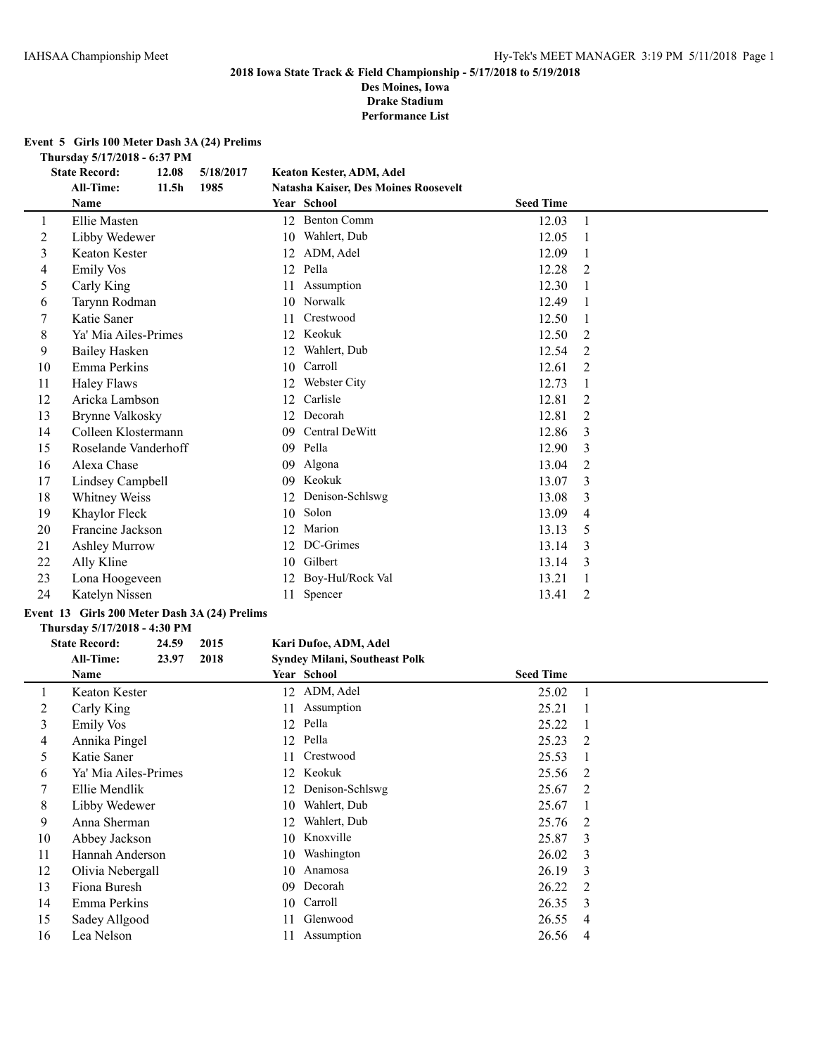# **2018 Iowa State Track & Field Championship - 5/17/2018 to 5/19/2018 Des Moines, Iowa**

**Drake Stadium**

**Performance List**

# **Event 5 Girls 100 Meter Dash 3A (24) Prelims**

**Thursday 5/17/2018 - 6:37 PM**

|    | <b>State Record:</b>                          | 12.08             | 5/18/2017 |    | Keaton Kester, ADM, Adel             |                  |              |
|----|-----------------------------------------------|-------------------|-----------|----|--------------------------------------|------------------|--------------|
|    | <b>All-Time:</b>                              | 11.5 <sub>h</sub> | 1985      |    | Natasha Kaiser, Des Moines Roosevelt |                  |              |
|    | Name                                          |                   |           |    | Year School                          | <b>Seed Time</b> |              |
| 1  | Ellie Masten                                  |                   |           | 12 | <b>Benton Comm</b>                   | 12.03            | $\mathbf{1}$ |
| 2  | Libby Wedewer                                 |                   |           | 10 | Wahlert, Dub                         | 12.05            |              |
| 3  | <b>Keaton Kester</b>                          |                   |           | 12 | ADM, Adel                            | 12.09            |              |
| 4  | <b>Emily Vos</b>                              |                   |           | 12 | Pella                                | 12.28            | 2            |
| 5  | Carly King                                    |                   |           | 11 | Assumption                           | 12.30            |              |
| 6  | Tarynn Rodman                                 |                   |           | 10 | Norwalk                              | 12.49            |              |
| 7  | Katie Saner                                   |                   |           | 11 | Crestwood                            | 12.50            |              |
| 8  | Ya' Mia Ailes-Primes                          |                   |           | 12 | Keokuk                               | 12.50            | 2            |
| 9  | <b>Bailey Hasken</b>                          |                   |           | 12 | Wahlert, Dub                         | 12.54            | 2            |
| 10 | Emma Perkins                                  |                   |           | 10 | Carroll                              | 12.61            | 2            |
| 11 | <b>Haley Flaws</b>                            |                   |           | 12 | Webster City                         | 12.73            |              |
| 12 | Aricka Lambson                                |                   |           | 12 | Carlisle                             | 12.81            | 2            |
| 13 | <b>Brynne Valkosky</b>                        |                   |           | 12 | Decorah                              | 12.81            | 2            |
| 14 | Colleen Klostermann                           |                   |           | 09 | Central DeWitt                       | 12.86            | 3            |
| 15 | Roselande Vanderhoff                          |                   |           | 09 | Pella                                | 12.90            | 3            |
| 16 | Alexa Chase                                   |                   |           | 09 | Algona                               | 13.04            | 2            |
| 17 | Lindsey Campbell                              |                   |           | 09 | Keokuk                               | 13.07            | 3            |
| 18 | Whitney Weiss                                 |                   |           | 12 | Denison-Schlswg                      | 13.08            | 3            |
| 19 | Khaylor Fleck                                 |                   |           | 10 | Solon                                | 13.09            | 4            |
| 20 | Francine Jackson                              |                   |           | 12 | Marion                               | 13.13            | 5            |
| 21 | <b>Ashley Murrow</b>                          |                   |           | 12 | DC-Grimes                            | 13.14            | 3            |
| 22 | Ally Kline                                    |                   |           | 10 | Gilbert                              | 13.14            | 3            |
| 23 | Lona Hoogeveen                                |                   |           | 12 | Boy-Hul/Rock Val                     | 13.21            |              |
| 24 | Katelyn Nissen                                |                   |           | 11 | Spencer                              | 13.41            | 2            |
|    | Event 13 Girls 200 Meter Dash 3A (24) Prelims |                   |           |    |                                      |                  |              |

# **Thursday 5/17/2018 - 4:30 PM**

#### **State Record: 24.59 2015 Kari Dufoe, ADM, Adel All-Time: 23.97 2018 Syndey Milani, Southeast Polk**

|    | Name                 |    | <b>Year School</b> | <b>Seed Time</b> |                         |
|----|----------------------|----|--------------------|------------------|-------------------------|
|    | Keaton Kester        |    | 12 ADM, Adel       | 25.02            |                         |
| 2  | Carly King           | 11 | Assumption         | 25.21            |                         |
| 3  | Emily Vos            |    | 12 Pella           | 25.22            |                         |
| 4  | Annika Pingel        |    | 12 Pella           | $25.23 \quad 2$  |                         |
| 5  | Katie Saner          |    | 11 Crestwood       | 25.53            |                         |
| 6  | Ya' Mia Ailes-Primes |    | 12 Keokuk          | 25.56 2          |                         |
|    | Ellie Mendlik        |    | 12 Denison-Schlswg | 25.67 2          |                         |
| 8  | Libby Wedewer        | 10 | Wahlert, Dub       | 25.67            |                         |
| 9  | Anna Sherman         | 12 | Wahlert, Dub       | 25.76            | $\overline{2}$          |
| 10 | Abbey Jackson        |    | 10 Knoxville       | 25.87            | 3                       |
| 11 | Hannah Anderson      |    | 10 Washington      | 26.02            | 3                       |
| 12 | Olivia Nebergall     | 10 | Anamosa            | 26.19            | $\overline{\mathbf{3}}$ |
| 13 | Fiona Buresh         | 09 | Decorah            | 26.22            | $\overline{2}$          |
| 14 | Emma Perkins         |    | 10 Carroll         | 26.35            | $\overline{\mathbf{3}}$ |
| 15 | Sadey Allgood        | 11 | Glenwood           | 26.55            | $\overline{4}$          |
| 16 | Lea Nelson           |    | Assumption         | 26.56            | 4                       |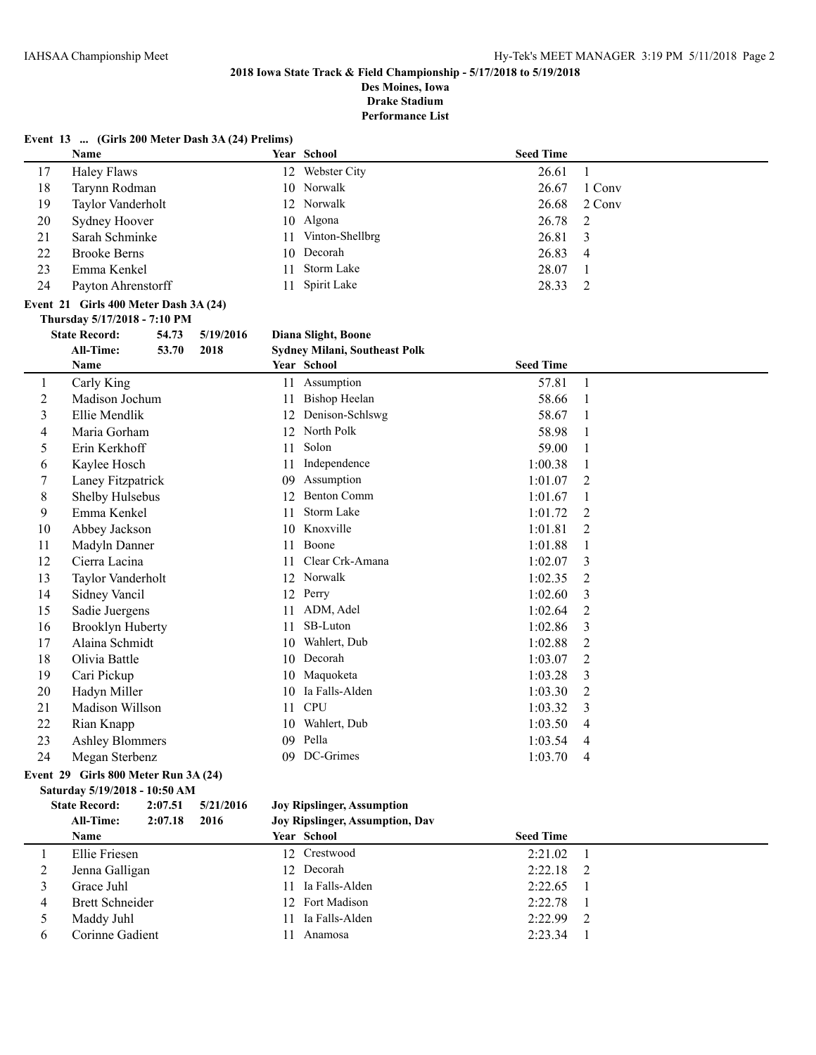**Des Moines, Iowa Drake Stadium**

**Performance List**

|                | Event 13  (Girls 200 Meter Dash 3A (24) Prelims) |       |           |    |                                      |                  |                |
|----------------|--------------------------------------------------|-------|-----------|----|--------------------------------------|------------------|----------------|
|                | Name                                             |       |           |    | Year School                          | <b>Seed Time</b> |                |
| 17             | <b>Haley Flaws</b>                               |       |           |    | 12 Webster City                      | 26.61            | $\mathbf{1}$   |
| 18             | Tarynn Rodman                                    |       |           |    | 10 Norwalk                           | 26.67            | 1 Conv         |
| 19             | Taylor Vanderholt                                |       |           |    | 12 Norwalk                           | 26.68            | 2 Conv         |
| 20             | Sydney Hoover                                    |       |           |    | 10 Algona                            | 26.78            | 2              |
| 21             | Sarah Schminke                                   |       |           | 11 | Vinton-Shellbrg                      | 26.81            | 3              |
| 22             | <b>Brooke Berns</b>                              |       |           |    | 10 Decorah                           | 26.83            | $\overline{4}$ |
| 23             | Emma Kenkel                                      |       |           | 11 | Storm Lake                           | 28.07            | 1              |
| 24             | Payton Ahrenstorff                               |       |           | 11 | Spirit Lake                          | 28.33            | $\overline{2}$ |
|                | Event 21 Girls 400 Meter Dash 3A (24)            |       |           |    |                                      |                  |                |
|                | Thursday 5/17/2018 - 7:10 PM                     |       |           |    |                                      |                  |                |
|                | <b>State Record:</b>                             | 54.73 | 5/19/2016 |    | Diana Slight, Boone                  |                  |                |
|                | <b>All-Time:</b>                                 | 53.70 | 2018      |    | <b>Sydney Milani, Southeast Polk</b> |                  |                |
|                | Name                                             |       |           |    | Year School                          | <b>Seed Time</b> |                |
| $\mathbf{1}$   | Carly King                                       |       |           |    | 11 Assumption                        | 57.81            | $\mathbf{1}$   |
| $\overline{2}$ | Madison Jochum                                   |       |           | 11 | <b>Bishop Heelan</b>                 | 58.66            | $\mathbf{1}$   |
| 3              | Ellie Mendlik                                    |       |           |    | 12 Denison-Schlswg                   | 58.67            | 1              |
| 4              | Maria Gorham                                     |       |           |    | 12 North Polk                        | 58.98            | $\mathbf{1}$   |
| 5              | Erin Kerkhoff                                    |       |           | 11 | Solon                                | 59.00            | 1              |
| 6              | Kaylee Hosch                                     |       |           | 11 | Independence                         | 1:00.38          | 1              |
| 7              | Laney Fitzpatrick                                |       |           |    | 09 Assumption                        | 1:01.07          | $\overline{2}$ |
| 8              | Shelby Hulsebus                                  |       |           |    | 12 Benton Comm                       | 1:01.67          | $\mathbf{1}$   |
| 9              | Emma Kenkel                                      |       |           | 11 | Storm Lake                           | 1:01.72          | $\overline{2}$ |
| 10             | Abbey Jackson                                    |       |           |    | 10 Knoxville                         | 1:01.81          | $\overline{2}$ |
| 11             | Madyln Danner                                    |       |           | 11 | Boone                                | 1:01.88          | 1              |
| 12             | Cierra Lacina                                    |       |           | 11 | Clear Crk-Amana                      | 1:02.07          | 3              |
| 13             | Taylor Vanderholt                                |       |           | 12 | Norwalk                              | 1:02.35          | 2              |
| 14             | Sidney Vancil                                    |       |           | 12 | Perry                                | 1:02.60          | 3              |
| 15             | Sadie Juergens                                   |       |           | 11 | ADM, Adel                            | 1:02.64          | $\overline{2}$ |
| 16             | <b>Brooklyn Huberty</b>                          |       |           | 11 | SB-Luton                             | 1:02.86          | 3              |
| 17             | Alaina Schmidt                                   |       |           | 10 | Wahlert, Dub                         | 1:02.88          | $\overline{2}$ |
| 18             | Olivia Battle                                    |       |           |    | 10 Decorah                           | 1:03.07          | 2              |
| 19             | Cari Pickup                                      |       |           |    | 10 Maquoketa                         | 1:03.28          | 3              |
| 20             | Hadyn Miller                                     |       |           |    | 10 Ia Falls-Alden                    | 1:03.30          | $\overline{2}$ |
| 21             | Madison Willson                                  |       |           | 11 | <b>CPU</b>                           | 1:03.32          | 3              |
| 22             | Rian Knapp                                       |       |           | 10 | Wahlert, Dub                         | 1:03.50          | $\overline{4}$ |
| 23             | <b>Ashley Blommers</b>                           |       |           | 09 | Pella                                | 1:03.54          | 4              |
| 24             | Megan Sterbenz                                   |       |           |    | 09 DC-Grimes                         | 1:03.70          | 4              |
|                | Event 29 Girls 800 Meter Run 3A (24)             |       |           |    |                                      |                  |                |

# **Saturday 5/19/2018 - 10:50 AM State Record: 2:07.51 5/21/2016 Joy Ripslinger, Assumption**

**All-Time: 2:07.18 2016 Joy Ripslinger, Assumption, Dav Name Year School Seed Time** Ellie Friesen 12 Crestwood 2:21.02 1 Jenna Galligan 12 Decorah 2:22.18 2 Grace Juhl 11 Ia Falls-Alden 2:22.65 1 4 Brett Schneider 12 Fort Madison 2:22.78 1 5 Maddy Juhl 11 Ia Falls-Alden 2:22.99 2<br>6 Corinne Gadient 11 Anamosa 2:23.34 1 Corinne Gadient 11 Anamosa 2:23.34 1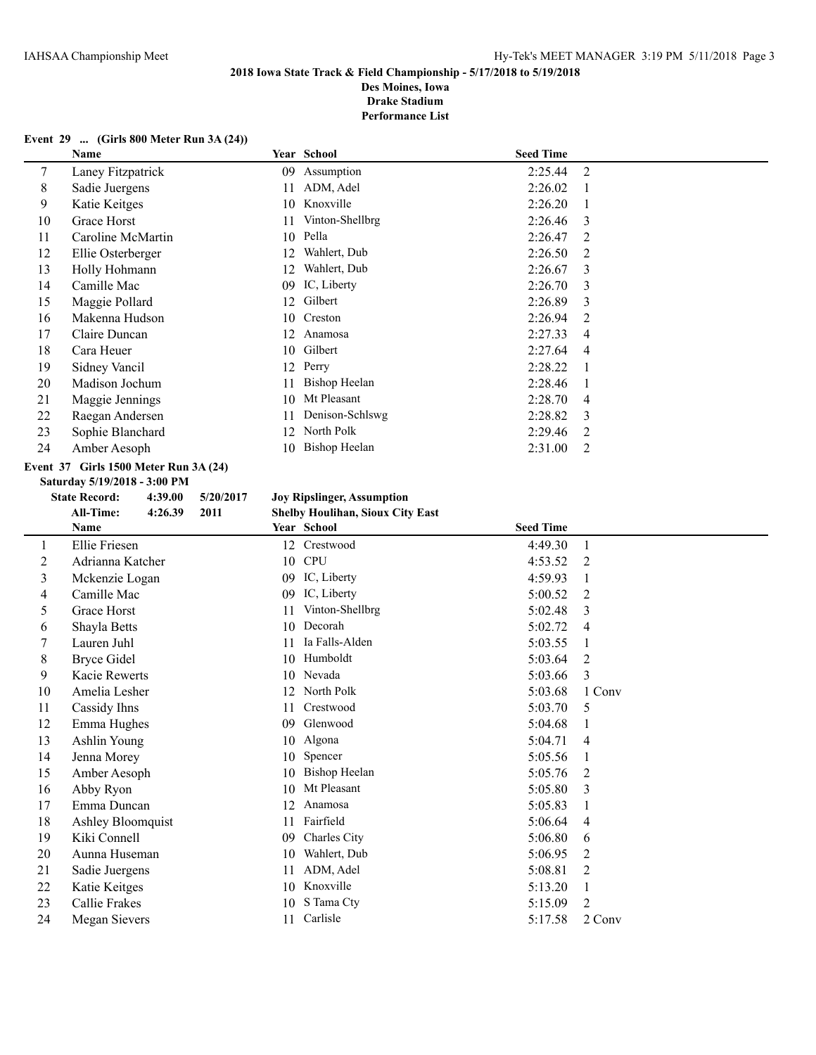**Des Moines, Iowa Drake Stadium**

**Performance List**

#### **Event 29 ... (Girls 800 Meter Run 3A (24))**

|    | Name              |     | Year School     | <b>Seed Time</b> |   |
|----|-------------------|-----|-----------------|------------------|---|
| 7  | Laney Fitzpatrick | 09  | Assumption      | 2:25.44          | 2 |
| 8  | Sadie Juergens    | 11  | ADM, Adel       | 2:26.02          |   |
| 9  | Katie Keitges     | 10  | Knoxville       | 2:26.20          |   |
| 10 | Grace Horst       | 11  | Vinton-Shellbrg | 2:26.46          | 3 |
| 11 | Caroline McMartin | 10  | Pella           | 2:26.47          | 2 |
| 12 | Ellie Osterberger | 12  | Wahlert, Dub    | 2:26.50          | 2 |
| 13 | Holly Hohmann     | 12. | Wahlert, Dub    | 2:26.67          | 3 |
| 14 | Camille Mac       | 09  | IC, Liberty     | 2:26.70          | 3 |
| 15 | Maggie Pollard    | 12  | Gilbert         | 2:26.89          | 3 |
| 16 | Makenna Hudson    | 10  | Creston         | 2:26.94          | 2 |
| 17 | Claire Duncan     | 12  | Anamosa         | 2:27.33          | 4 |
| 18 | Cara Heuer        | 10  | Gilbert         | 2:27.64          | 4 |
| 19 | Sidney Vancil     | 12  | Perry           | 2:28.22          |   |
| 20 | Madison Jochum    | 11  | Bishop Heelan   | 2:28.46          |   |
| 21 | Maggie Jennings   | 10  | Mt Pleasant     | 2:28.70          | 4 |
| 22 | Raegan Andersen   | 11  | Denison-Schlswg | 2:28.82          | 3 |
| 23 | Sophie Blanchard  | 12  | North Polk      | 2:29.46          | 2 |
| 24 | Amber Aesoph      | 10  | Bishop Heelan   | 2:31.00          | 2 |
|    |                   |     |                 |                  |   |

# **Event 37 Girls 1500 Meter Run 3A (24)**

**Saturday 5/19/2018 - 3:00 PM**

# **State Record: 4:39.00 5/20/2017 Joy Ripslinger, Assumption**

|    | <b>All-Time:</b><br>2011<br>4:26.39 | <b>Shelby Houlihan, Sioux City East</b> |                           |
|----|-------------------------------------|-----------------------------------------|---------------------------|
|    | Name                                | Year School                             | <b>Seed Time</b>          |
| 1  | Ellie Friesen                       | Crestwood<br>12                         | 4:49.30<br>1              |
| 2  | Adrianna Katcher                    | <b>CPU</b><br>10                        | 4:53.52<br>2              |
| 3  | Mckenzie Logan                      | IC, Liberty<br>09                       | 4:59.93                   |
| 4  | Camille Mac                         | IC, Liberty<br>09                       | 5:00.52<br>2              |
| 5  | Grace Horst                         | Vinton-Shellbrg<br>11                   | 5:02.48<br>3              |
| 6  | Shayla Betts                        | Decorah<br>10                           | 5:02.72<br>4              |
| 7  | Lauren Juhl                         | Ia Falls-Alden<br>11                    | 5:03.55                   |
| 8  | <b>Bryce Gidel</b>                  | Humboldt<br>10                          | 5:03.64<br>2              |
| 9  | <b>Kacie Rewerts</b>                | Nevada<br>10                            | 5:03.66<br>3              |
| 10 | Amelia Lesher                       | North Polk<br>12                        | 5:03.68<br>1 Conv         |
| 11 | Cassidy Ihns                        | Crestwood<br>11                         | 5:03.70<br>5              |
| 12 | Emma Hughes                         | Glenwood<br>09                          | 5:04.68                   |
| 13 | Ashlin Young                        | Algona<br>10                            | 5:04.71<br>4              |
| 14 | Jenna Morey                         | Spencer<br>10                           | 5:05.56                   |
| 15 | Amber Aesoph                        | <b>Bishop Heelan</b><br>10              | 5:05.76<br>2              |
| 16 | Abby Ryon                           | Mt Pleasant<br>10                       | 5:05.80<br>3              |
| 17 | Emma Duncan                         | 12<br>Anamosa                           | 5:05.83                   |
| 18 | Ashley Bloomquist                   | Fairfield<br>11                         | 5:06.64<br>4              |
| 19 | Kiki Connell                        | Charles City<br>09                      | 5:06.80<br>6              |
| 20 | Aunna Huseman                       | Wahlert, Dub<br>10                      | 5:06.95<br>$\overline{2}$ |
| 21 | Sadie Juergens                      | ADM, Adel<br>11                         | 5:08.81<br>2              |
| 22 | Katie Keitges                       | Knoxville<br>10                         | 5:13.20<br>1              |
| 23 | Callie Frakes                       | S Tama Cty<br>10                        | 2<br>5:15.09              |
| 24 | Megan Sievers                       | Carlisle<br>11                          | 5:17.58<br>2 Conv         |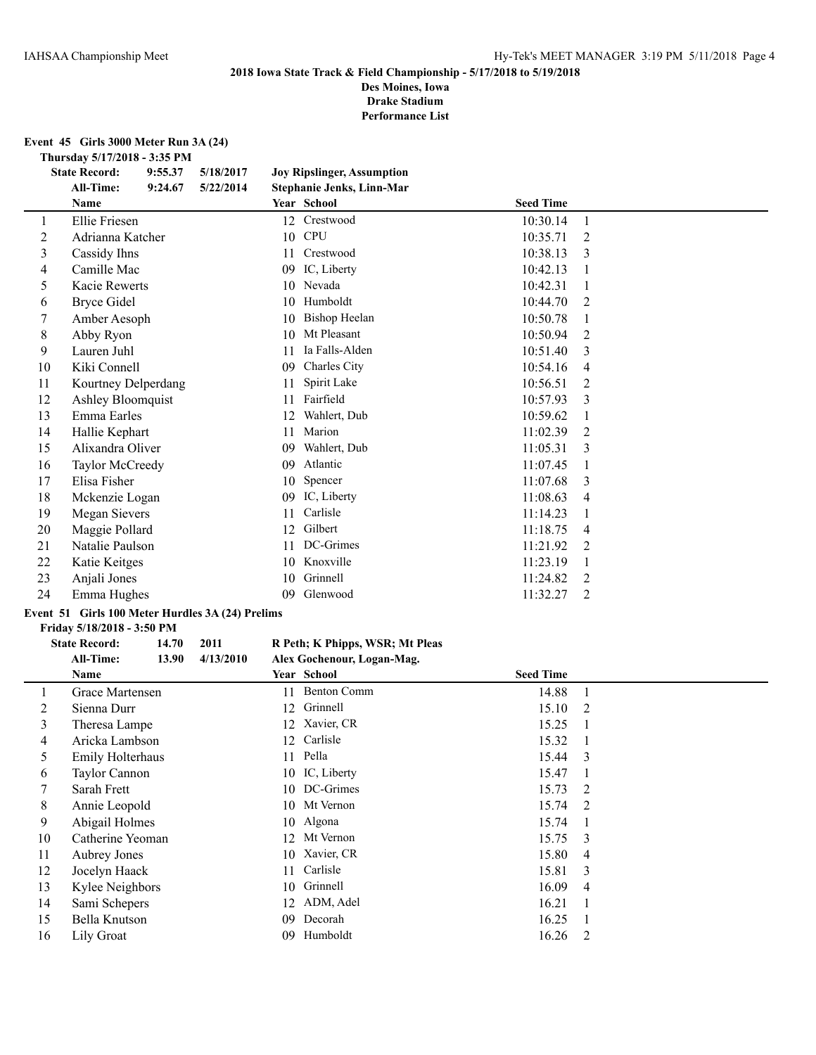**Des Moines, Iowa Drake Stadium**

**Performance List**

**Event 45 Girls 3000 Meter Run 3A (24)**

**Thursday 5/17/2018 - 3:35 PM**

|    | <b>State Record:</b> | 9:55.37 | 5/18/2017 |    | <b>Joy Ripslinger, Assumption</b> |                  |                |  |
|----|----------------------|---------|-----------|----|-----------------------------------|------------------|----------------|--|
|    | <b>All-Time:</b>     | 9:24.67 | 5/22/2014 |    | Stephanie Jenks, Linn-Mar         |                  |                |  |
|    | Name                 |         |           |    | Year School                       | <b>Seed Time</b> |                |  |
|    | Ellie Friesen        |         |           |    | 12 Crestwood                      | 10:30.14         | $\mathbf{1}$   |  |
| 2  | Adrianna Katcher     |         |           | 10 | <b>CPU</b>                        | 10:35.71         | 2              |  |
| 3  | Cassidy Ihns         |         |           | 11 | Crestwood                         | 10:38.13         | 3              |  |
| 4  | Camille Mac          |         |           | 09 | IC, Liberty                       | 10:42.13         |                |  |
| 5  | <b>Kacie Rewerts</b> |         |           | 10 | Nevada                            | 10:42.31         |                |  |
| 6  | <b>Bryce Gidel</b>   |         |           | 10 | Humboldt                          | 10:44.70         | 2              |  |
| 7  | Amber Aesoph         |         |           | 10 | Bishop Heelan                     | 10:50.78         |                |  |
| 8  | Abby Ryon            |         |           | 10 | Mt Pleasant                       | 10:50.94         | 2              |  |
| 9  | Lauren Juhl          |         |           | 11 | Ia Falls-Alden                    | 10:51.40         | 3              |  |
| 10 | Kiki Connell         |         |           | 09 | Charles City                      | 10:54.16         | 4              |  |
| 11 | Kourtney Delperdang  |         |           | 11 | Spirit Lake                       | 10:56.51         | 2              |  |
| 12 | Ashley Bloomquist    |         |           | 11 | Fairfield                         | 10:57.93         | 3              |  |
| 13 | Emma Earles          |         |           | 12 | Wahlert, Dub                      | 10:59.62         |                |  |
| 14 | Hallie Kephart       |         |           | 11 | Marion                            | 11:02.39         | 2              |  |
| 15 | Alixandra Oliver     |         |           | 09 | Wahlert, Dub                      | 11:05.31         | 3              |  |
| 16 | Taylor McCreedy      |         |           | 09 | Atlantic                          | 11:07.45         |                |  |
| 17 | Elisa Fisher         |         |           | 10 | Spencer                           | 11:07.68         | 3              |  |
| 18 | Mckenzie Logan       |         |           | 09 | IC, Liberty                       | 11:08.63         | $\overline{4}$ |  |
| 19 | <b>Megan Sievers</b> |         |           | 11 | Carlisle                          | 11:14.23         |                |  |
| 20 | Maggie Pollard       |         |           | 12 | Gilbert                           | 11:18.75         | $\overline{4}$ |  |
| 21 | Natalie Paulson      |         |           | 11 | DC-Grimes                         | 11:21.92         | 2              |  |
| 22 | Katie Keitges        |         |           | 10 | Knoxville                         | 11:23.19         |                |  |
| 23 | Anjali Jones         |         |           | 10 | Grinnell                          | 11:24.82         | 2              |  |
| 24 | Emma Hughes          |         |           | 09 | Glenwood                          | 11:32.27         | 2              |  |

# **Event 51 Girls 100 Meter Hurdles 3A (24) Prelims**

**Friday 5/18/2018 - 3:50 PM**

# **State Record: 14.70 2011 R Peth; K Phipps, WSR; Mt Pleas All-Time: 13.90 4/13/2010 Alex Gochenour, Logan-Mag.**

|    | Name             |    | Year School        | <b>Seed Time</b> |                         |
|----|------------------|----|--------------------|------------------|-------------------------|
|    | Grace Martensen  | 11 | <b>Benton Comm</b> | 14.88            |                         |
| 2  | Sienna Durr      |    | 12 Grinnell        | 15.10 2          |                         |
| 3  | Theresa Lampe    |    | 12 Xavier, CR      | 15.25            |                         |
| 4  | Aricka Lambson   |    | 12 Carlisle        | 15.32            |                         |
| 5  | Emily Holterhaus |    | 11 Pella           | 15.44 3          |                         |
| 6  | Taylor Cannon    |    | 10 IC, Liberty     | 15.47            |                         |
| 7  | Sarah Frett      |    | 10 DC-Grimes       | 15.73            | $\overline{2}$          |
| 8  | Annie Leopold    |    | 10 Mt Vernon       | 15.74 2          |                         |
| 9  | Abigail Holmes   |    | 10 Algona          | 15.74            |                         |
| 10 | Catherine Yeoman | 12 | Mt Vernon          | $15.75 \quad 3$  |                         |
| 11 | Aubrey Jones     |    | 10 Xavier, CR      | 15.80            | $\overline{4}$          |
| 12 | Jocelyn Haack    | 11 | Carlisle           | 15.81            | $\overline{\mathbf{3}}$ |
| 13 | Kylee Neighbors  |    | 10 Grinnell        | 16.09            | $\overline{4}$          |
| 14 | Sami Schepers    |    | 12 ADM, Adel       | 16.21            |                         |
| 15 | Bella Knutson    | 09 | Decorah            | 16.25            |                         |
| 16 | Lily Groat       | 09 | Humboldt           | 16.26            | -2                      |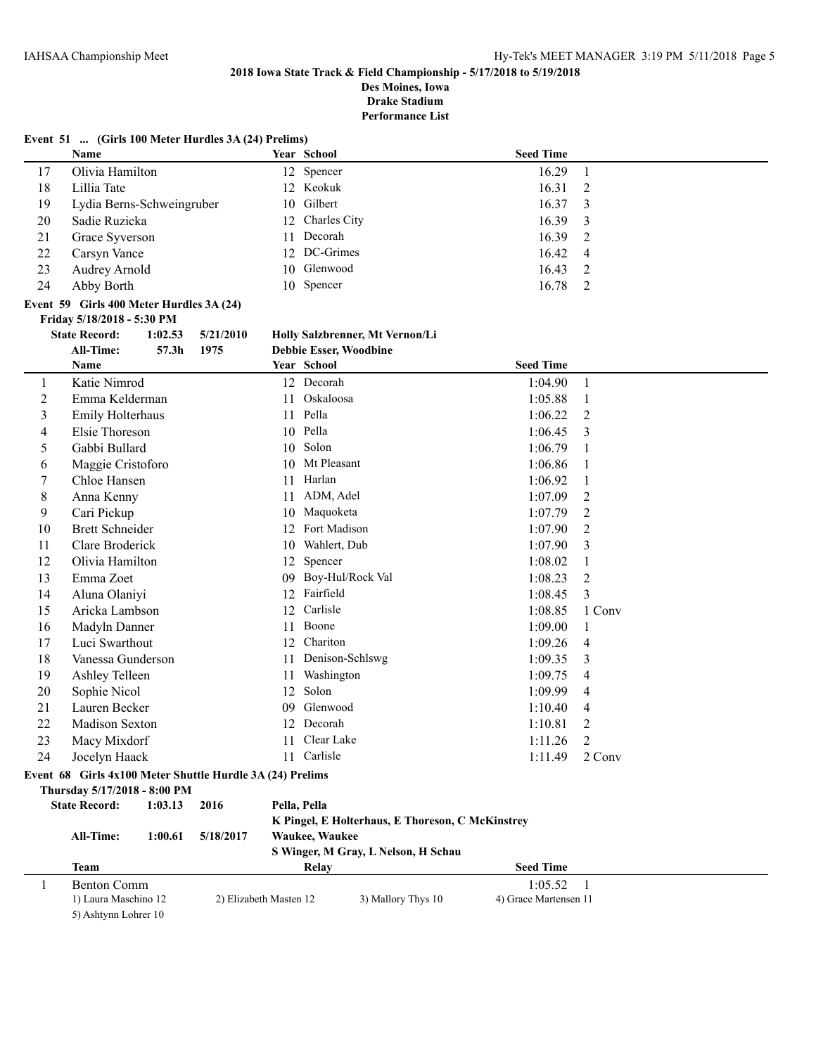**Event 51 ... (Girls 100 Meter Hurdles 3A (24) Prelims)**

# **2018 Iowa State Track & Field Championship - 5/17/2018 to 5/19/2018**

**Des Moines, Iowa Drake Stadium**

**Performance List**

|                | Name                                                      |         |                        |    | Year School                                      | <b>Seed Time</b>      |                |
|----------------|-----------------------------------------------------------|---------|------------------------|----|--------------------------------------------------|-----------------------|----------------|
| 17             | Olivia Hamilton                                           |         |                        |    | 12 Spencer                                       | 16.29                 | 1              |
| 18             | Lillia Tate                                               |         |                        |    | 12 Keokuk                                        | 16.31                 | $\mathfrak{2}$ |
| 19             | Lydia Berns-Schweingruber                                 |         |                        | 10 | Gilbert                                          | 16.37                 | 3              |
| 20             | Sadie Ruzicka                                             |         |                        | 12 | Charles City                                     | 16.39                 | 3              |
| 21             | Grace Syverson                                            |         |                        | 11 | Decorah                                          | 16.39                 | 2              |
| 22             | Carsyn Vance                                              |         |                        | 12 | DC-Grimes                                        | 16.42                 | 4              |
| 23             | Audrey Arnold                                             |         |                        | 10 | Glenwood                                         | 16.43                 | 2              |
| 24             | Abby Borth                                                |         |                        |    | 10 Spencer                                       | 16.78                 | $\overline{2}$ |
|                |                                                           |         |                        |    |                                                  |                       |                |
|                | Event 59 Girls 400 Meter Hurdles 3A (24)                  |         |                        |    |                                                  |                       |                |
|                | Friday 5/18/2018 - 5:30 PM<br><b>State Record:</b>        | 1:02.53 | 5/21/2010              |    | Holly Salzbrenner, Mt Vernon/Li                  |                       |                |
|                | <b>All-Time:</b>                                          | 57.3h   | 1975                   |    | Debbie Esser, Woodbine                           |                       |                |
|                | Name                                                      |         |                        |    | Year School                                      | <b>Seed Time</b>      |                |
|                | Katie Nimrod                                              |         |                        |    | 12 Decorah                                       |                       |                |
| 1              |                                                           |         |                        |    |                                                  | 1:04.90               | 1              |
| $\overline{c}$ | Emma Kelderman                                            |         |                        | 11 | Oskaloosa                                        | 1:05.88               | 1              |
| 3              | Emily Holterhaus                                          |         |                        | 11 | Pella                                            | 1:06.22               | 2              |
| 4              | Elsie Thoreson                                            |         |                        |    | 10 Pella                                         | 1:06.45               | 3              |
| 5              | Gabbi Bullard                                             |         |                        | 10 | Solon                                            | 1:06.79               | 1              |
| 6              | Maggie Cristoforo                                         |         |                        | 10 | Mt Pleasant                                      | 1:06.86               | 1              |
| 7              | Chloe Hansen                                              |         |                        | 11 | Harlan                                           | 1:06.92               | 1              |
| 8              | Anna Kenny                                                |         |                        | 11 | ADM, Adel                                        | 1:07.09               | 2              |
| 9              | Cari Pickup                                               |         |                        | 10 | Maquoketa                                        | 1:07.79               | 2              |
| 10             | <b>Brett Schneider</b>                                    |         |                        |    | 12 Fort Madison                                  | 1:07.90               | 2              |
| 11             | Clare Broderick                                           |         |                        |    | 10 Wahlert, Dub                                  | 1:07.90               | 3              |
| 12             | Olivia Hamilton                                           |         |                        | 12 | Spencer                                          | 1:08.02               | 1              |
| 13             | Emma Zoet                                                 |         |                        | 09 | Boy-Hul/Rock Val                                 | 1:08.23               | $\mathfrak{2}$ |
| 14             | Aluna Olaniyi                                             |         |                        |    | 12 Fairfield                                     | 1:08.45               | $\overline{3}$ |
| 15             | Aricka Lambson                                            |         |                        | 12 | Carlisle                                         | 1:08.85               | 1 Conv         |
| 16             | Madyln Danner                                             |         |                        | 11 | Boone                                            | 1:09.00               | 1              |
| 17             | Luci Swarthout                                            |         |                        | 12 | Chariton                                         | 1:09.26               | $\overline{4}$ |
| 18             | Vanessa Gunderson                                         |         |                        | 11 | Denison-Schlswg                                  | 1:09.35               | 3              |
| 19             | Ashley Telleen                                            |         |                        | 11 | Washington                                       | 1:09.75               | 4              |
| 20             | Sophie Nicol                                              |         |                        | 12 | Solon                                            | 1:09.99               | 4              |
| 21             | Lauren Becker                                             |         |                        | 09 | Glenwood                                         | 1:10.40               | $\overline{4}$ |
| 22             | Madison Sexton                                            |         |                        | 12 | Decorah                                          | 1:10.81               | 2              |
| 23             | Macy Mixdorf                                              |         |                        |    | 11 Clear Lake                                    | 1:11.26               | $\overline{2}$ |
| 24             | Jocelyn Haack                                             |         |                        |    | 11 Carlisle                                      | 1:11.49               | 2 Conv         |
|                | Event 68 Girls 4x100 Meter Shuttle Hurdle 3A (24) Prelims |         |                        |    |                                                  |                       |                |
|                | Thursday 5/17/2018 - 8:00 PM                              |         |                        |    |                                                  |                       |                |
|                | <b>State Record:</b>                                      | 1:03.13 | 2016                   |    | Pella, Pella                                     |                       |                |
|                |                                                           |         |                        |    | K Pingel, E Holterhaus, E Thoreson, C McKinstrey |                       |                |
|                | All-Time:                                                 | 1:00.61 | 5/18/2017              |    | Waukee, Waukee                                   |                       |                |
|                |                                                           |         |                        |    | S Winger, M Gray, L Nelson, H Schau              |                       |                |
|                | <b>Team</b>                                               |         |                        |    | Relay                                            | <b>Seed Time</b>      |                |
| 1              | <b>Benton Comm</b>                                        |         |                        |    |                                                  | 1:05.52               | -1             |
|                | 1) Laura Maschino 12                                      |         | 2) Elizabeth Masten 12 |    | 3) Mallory Thys 10                               | 4) Grace Martensen 11 |                |
|                | 5) Ashtynn Lohrer 10                                      |         |                        |    |                                                  |                       |                |
|                |                                                           |         |                        |    |                                                  |                       |                |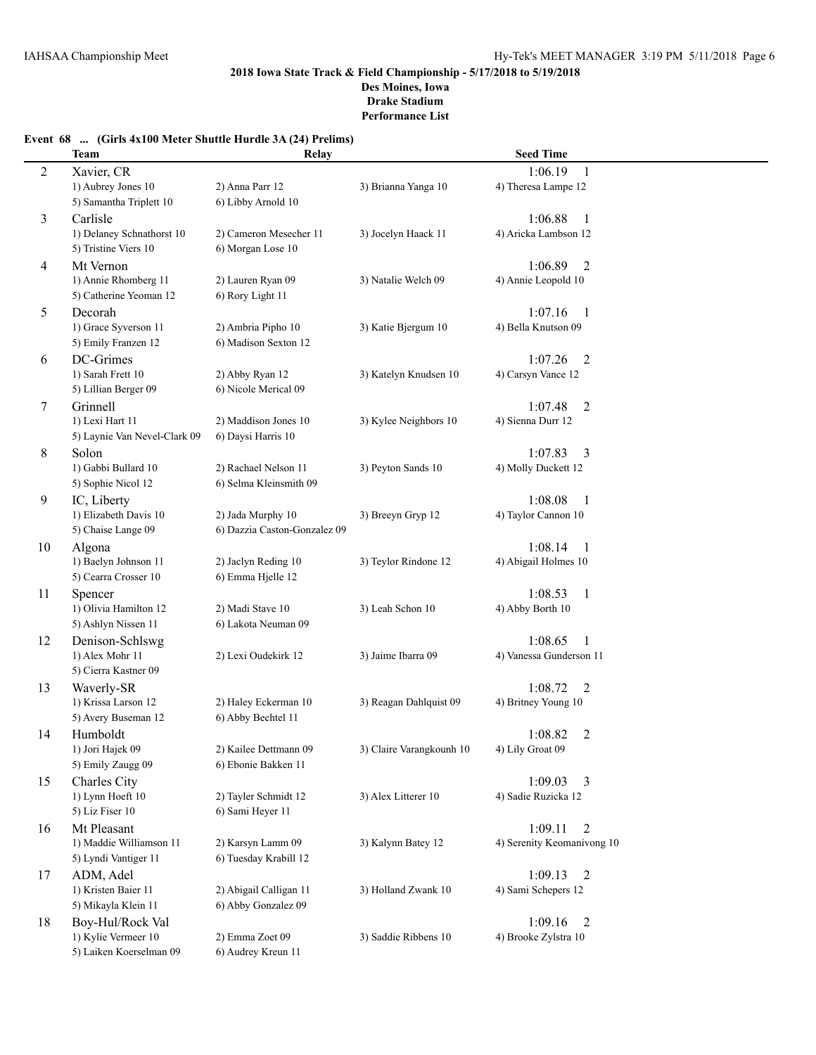# **Event 68 ... (Girls 4x100 Meter Shuttle Hurdle 3A (24) Prelims)**

|                | <b>Team</b>                             | Relay                        |                          | <b>Seed Time</b>                        |  |
|----------------|-----------------------------------------|------------------------------|--------------------------|-----------------------------------------|--|
| $\overline{c}$ | Xavier, CR                              |                              |                          | 1:06.19<br>1                            |  |
|                | 1) Aubrey Jones 10                      | 2) Anna Parr 12              | 3) Brianna Yanga 10      | 4) Theresa Lampe 12                     |  |
|                | 5) Samantha Triplett 10                 | 6) Libby Arnold 10           |                          |                                         |  |
| 3              | Carlisle                                |                              |                          | 1:06.88<br>-1                           |  |
|                | 1) Delaney Schnathorst 10               | 2) Cameron Mesecher 11       | 3) Jocelyn Haack 11      | 4) Aricka Lambson 12                    |  |
|                | 5) Tristine Viers 10                    | 6) Morgan Lose 10            |                          |                                         |  |
| 4              | Mt Vernon                               |                              |                          | 1:06.89<br>2                            |  |
|                | 1) Annie Rhomberg 11                    | 2) Lauren Ryan 09            | 3) Natalie Welch 09      | 4) Annie Leopold 10                     |  |
|                | 5) Catherine Yeoman 12                  | 6) Rory Light 11             |                          |                                         |  |
| 5              | Decorah                                 |                              |                          | 1:07.16<br>-1                           |  |
|                | 1) Grace Syverson 11                    | 2) Ambria Pipho 10           | 3) Katie Bjergum 10      | 4) Bella Knutson 09                     |  |
|                | 5) Emily Franzen 12                     | 6) Madison Sexton 12         |                          |                                         |  |
| 6              | DC-Grimes                               |                              |                          | 1:07.26<br>$\overline{2}$               |  |
|                | 1) Sarah Frett 10                       | 2) Abby Ryan 12              | 3) Katelyn Knudsen 10    | 4) Carsyn Vance 12                      |  |
|                | 5) Lillian Berger 09                    | 6) Nicole Merical 09         |                          |                                         |  |
| 7              | Grinnell                                |                              |                          | 1:07.48<br>2                            |  |
|                | 1) Lexi Hart 11                         | 2) Maddison Jones 10         | 3) Kylee Neighbors 10    | 4) Sienna Durr 12                       |  |
|                | 5) Laynie Van Nevel-Clark 09            | 6) Daysi Harris 10           |                          |                                         |  |
| 8              | Solon                                   |                              |                          | 1:07.83<br>3                            |  |
|                | 1) Gabbi Bullard 10                     | 2) Rachael Nelson 11         | 3) Peyton Sands 10       | 4) Molly Duckett 12                     |  |
|                | 5) Sophie Nicol 12                      | 6) Selma Kleinsmith 09       |                          |                                         |  |
| 9              | IC, Liberty                             |                              |                          | 1:08.08<br>-1                           |  |
|                | 1) Elizabeth Davis 10                   | 2) Jada Murphy 10            | 3) Breeyn Gryp 12        | 4) Taylor Cannon 10                     |  |
|                | 5) Chaise Lange 09                      | 6) Dazzia Caston-Gonzalez 09 |                          |                                         |  |
| 10             | Algona                                  |                              |                          | 1:08.14<br>-1                           |  |
|                | 1) Baelyn Johnson 11                    | 2) Jaclyn Reding 10          | 3) Teylor Rindone 12     | 4) Abigail Holmes 10                    |  |
|                | 5) Cearra Crosser 10                    | 6) Emma Hjelle 12            |                          |                                         |  |
| 11             | Spencer                                 |                              |                          | 1:08.53<br>$\mathbf{1}$                 |  |
|                | 1) Olivia Hamilton 12                   | 2) Madi Stave 10             | 3) Leah Schon 10         | 4) Abby Borth 10                        |  |
|                | 5) Ashlyn Nissen 11                     | 6) Lakota Neuman 09          |                          |                                         |  |
| 12             | Denison-Schlswg                         |                              | 3) Jaime Ibarra 09       | 1:08.65<br>1<br>4) Vanessa Gunderson 11 |  |
|                | 1) Alex Mohr 11<br>5) Cierra Kastner 09 | 2) Lexi Oudekirk 12          |                          |                                         |  |
|                |                                         |                              |                          | 1:08.72                                 |  |
| 13             | Waverly-SR<br>1) Krissa Larson 12       | 2) Haley Eckerman 10         | 3) Reagan Dahlquist 09   | 2<br>4) Britney Young 10                |  |
|                | 5) Avery Buseman 12                     | 6) Abby Bechtel 11           |                          |                                         |  |
| 14             | Humboldt                                |                              |                          | 1:08.82<br>2                            |  |
|                | 1) Jori Hajek 09                        | 2) Kailee Dettmann 09        | 3) Claire Varangkounh 10 | 4) Lily Groat 09                        |  |
|                | 5) Emily Zaugg 09                       | 6) Ebonie Bakken 11          |                          |                                         |  |
| 15             | Charles City                            |                              |                          | 1:09.03<br>3                            |  |
|                | 1) Lynn Hoeft 10                        | 2) Tayler Schmidt 12         | 3) Alex Litterer 10      | 4) Sadie Ruzicka 12                     |  |
|                | 5) Liz Fiser 10                         | 6) Sami Heyer 11             |                          |                                         |  |
| 16             | Mt Pleasant                             |                              |                          | 1:09.11<br>2                            |  |
|                | 1) Maddie Williamson 11                 | 2) Karsyn Lamm 09            | 3) Kalynn Batey 12       | 4) Serenity Keomanivong 10              |  |
|                | 5) Lyndi Vantiger 11                    | 6) Tuesday Krabill 12        |                          |                                         |  |
| 17             | ADM, Adel                               |                              |                          | 1:09.13<br>2                            |  |
|                | 1) Kristen Baier 11                     | 2) Abigail Calligan 11       | 3) Holland Zwank 10      | 4) Sami Schepers 12                     |  |
|                | 5) Mikayla Klein 11                     | 6) Abby Gonzalez 09          |                          |                                         |  |
| 18             | Boy-Hul/Rock Val                        |                              |                          | 1:09.16<br>$\overline{2}$               |  |
|                | 1) Kylie Vermeer 10                     | 2) Emma Zoet 09              | 3) Saddie Ribbens 10     | 4) Brooke Zylstra 10                    |  |
|                | 5) Laiken Koerselman 09                 | 6) Audrey Kreun 11           |                          |                                         |  |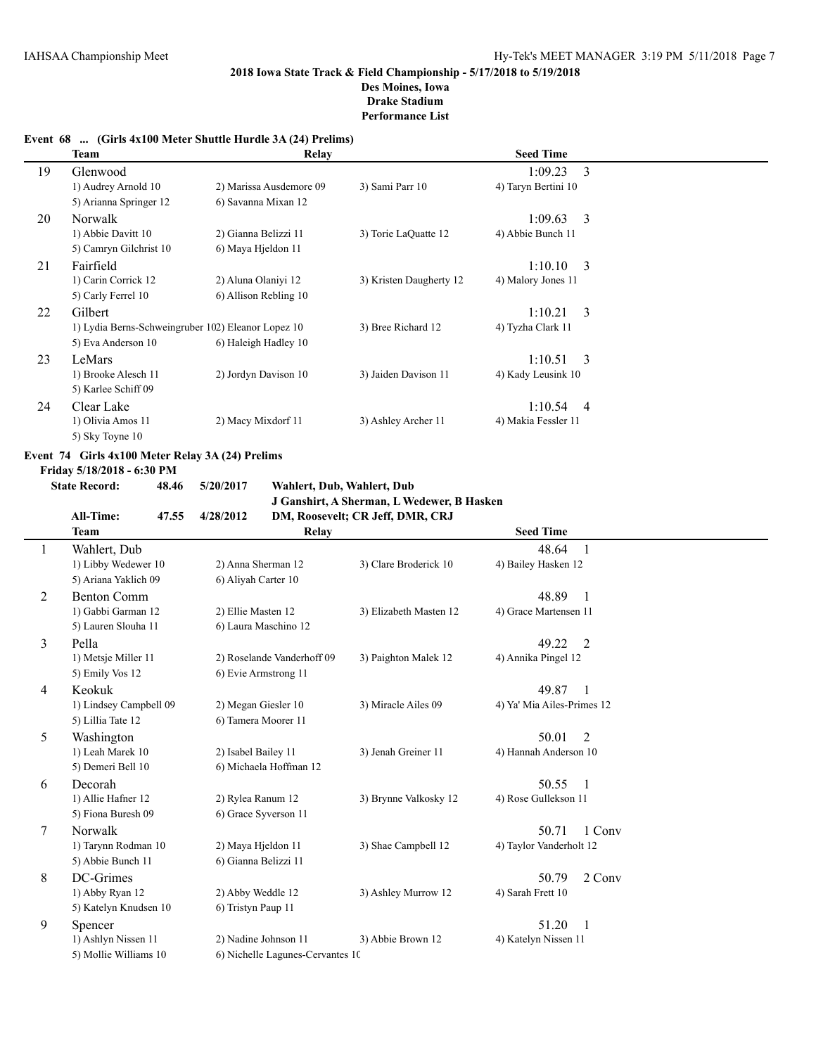# **Event 68 ... (Girls 4x100 Meter Shuttle Hurdle 3A (24) Prelims)**

|    | Team                                               | Relay                   |                         | <b>Seed Time</b>          |  |
|----|----------------------------------------------------|-------------------------|-------------------------|---------------------------|--|
| 19 | Glenwood                                           |                         |                         | 3<br>1:09.23              |  |
|    | 1) Audrey Arnold 10                                | 2) Marissa Ausdemore 09 | 3) Sami Parr 10         | 4) Taryn Bertini 10       |  |
|    | 5) Arianna Springer 12                             | 6) Savanna Mixan 12     |                         |                           |  |
| 20 | <b>Norwalk</b>                                     |                         |                         | 3<br>1:09.63              |  |
|    | 1) Abbie Davitt 10                                 | 2) Gianna Belizzi 11    | 3) Torie LaQuatte 12    | 4) Abbie Bunch 11         |  |
|    | 5) Camryn Gilchrist 10                             | 6) Maya Hjeldon 11      |                         |                           |  |
| 21 | Fairfield                                          |                         |                         | 1:10.10<br>3              |  |
|    | 1) Carin Corrick 12                                | 2) Aluna Olaniyi 12     | 3) Kristen Daugherty 12 | 4) Malory Jones 11        |  |
|    | 5) Carly Ferrel 10                                 | 6) Allison Rebling 10   |                         |                           |  |
| 22 | Gilbert                                            |                         |                         | 3<br>1:10.21              |  |
|    | 1) Lydia Berns-Schweingruber 102) Eleanor Lopez 10 |                         | 3) Bree Richard 12      | 4) Tyzha Clark 11         |  |
|    | 5) Eva Anderson 10                                 | 6) Haleigh Hadley 10    |                         |                           |  |
| 23 | LeMars                                             |                         |                         | 3<br>1:10.51              |  |
|    | 1) Brooke Alesch 11                                | 2) Jordyn Davison 10    | 3) Jaiden Davison 11    | 4) Kady Leusink 10        |  |
|    | 5) Karlee Schiff 09                                |                         |                         |                           |  |
| 24 | Clear Lake                                         |                         |                         | 1:10.54<br>$\overline{4}$ |  |
|    | 1) Olivia Amos 11                                  | 2) Macy Mixdorf 11      | 3) Ashley Archer 11     | 4) Makia Fessler 11       |  |
|    | 5) Sky Toyne 10                                    |                         |                         |                           |  |

# **Event 74 Girls 4x100 Meter Relay 3A (24) Prelims**

**Friday 5/18/2018 - 6:30 PM**

**State Record: 48.46 5/20/2017 Wahlert, Dub, Wahlert, Dub J Ganshirt, A Sherman, L Wedewer, B Hasken All-Time: 47.55 4/28/2012 DM, Roosevelt; CR Jeff, DMR, CRJ**

|   | Ап-типе:<br>47.33<br><b>Team</b> | 4/20/2012                        | DIVI, ROOSEVEIL, UR JEH, DIVIR, URJ | <b>Seed Time</b>           |  |
|---|----------------------------------|----------------------------------|-------------------------------------|----------------------------|--|
|   |                                  | Relay                            |                                     |                            |  |
|   | Wahlert, Dub                     |                                  |                                     | 48.64<br>$\overline{1}$    |  |
|   | 1) Libby Wedewer 10              | 2) Anna Sherman 12               | 3) Clare Broderick 10               | 4) Bailey Hasken 12        |  |
|   | 5) Ariana Yaklich 09             | 6) Aliyah Carter 10              |                                     |                            |  |
| 2 | <b>Benton Comm</b>               |                                  |                                     | 48.89<br>-1                |  |
|   | 1) Gabbi Garman 12               | 2) Ellie Masten 12               | 3) Elizabeth Masten 12              | 4) Grace Martensen 11      |  |
|   | 5) Lauren Slouha 11              | 6) Laura Maschino 12             |                                     |                            |  |
| 3 | Pella                            |                                  |                                     | 49.22<br>2                 |  |
|   | 1) Metsje Miller 11              | 2) Roselande Vanderhoff 09       | 3) Paighton Malek 12                | 4) Annika Pingel 12        |  |
|   | 5) Emily Vos 12                  | 6) Evie Armstrong 11             |                                     |                            |  |
| 4 | Keokuk                           |                                  |                                     | 49.87<br>-1                |  |
|   | 1) Lindsey Campbell 09           | 2) Megan Giesler 10              | 3) Miracle Ailes 09                 | 4) Ya' Mia Ailes-Primes 12 |  |
|   | 5) Lillia Tate 12                | 6) Tamera Moorer 11              |                                     |                            |  |
| 5 | Washington                       |                                  |                                     | 50.01<br>2                 |  |
|   | 1) Leah Marek 10                 | 2) Isabel Bailey 11              | 3) Jenah Greiner 11                 | 4) Hannah Anderson 10      |  |
|   | 5) Demeri Bell 10                | 6) Michaela Hoffman 12           |                                     |                            |  |
| 6 | Decorah                          |                                  |                                     | 50.55<br>$\blacksquare$    |  |
|   | 1) Allie Hafner 12               | 2) Rylea Ranum 12                | 3) Brynne Valkosky 12               | 4) Rose Gullekson 11       |  |
|   | 5) Fiona Buresh 09               | 6) Grace Syverson 11             |                                     |                            |  |
| 7 | Norwalk                          |                                  |                                     | 50.71<br>1 Conv            |  |
|   | 1) Tarynn Rodman 10              | 2) Maya Hjeldon 11               | 3) Shae Campbell 12                 | 4) Taylor Vanderholt 12    |  |
|   | 5) Abbie Bunch 11                | 6) Gianna Belizzi 11             |                                     |                            |  |
| 8 | DC-Grimes                        |                                  |                                     | 50.79<br>2 Conv            |  |
|   | 1) Abby Ryan 12                  | 2) Abby Weddle 12                | 3) Ashley Murrow 12                 | 4) Sarah Frett 10          |  |
|   | 5) Katelyn Knudsen 10            | 6) Tristyn Paup 11               |                                     |                            |  |
| 9 | Spencer                          |                                  |                                     | 51.20<br>- 1               |  |
|   | 1) Ashlyn Nissen 11              | 2) Nadine Johnson 11             | 3) Abbie Brown 12                   | 4) Katelyn Nissen 11       |  |
|   | 5) Mollie Williams 10            | 6) Nichelle Lagunes-Cervantes 10 |                                     |                            |  |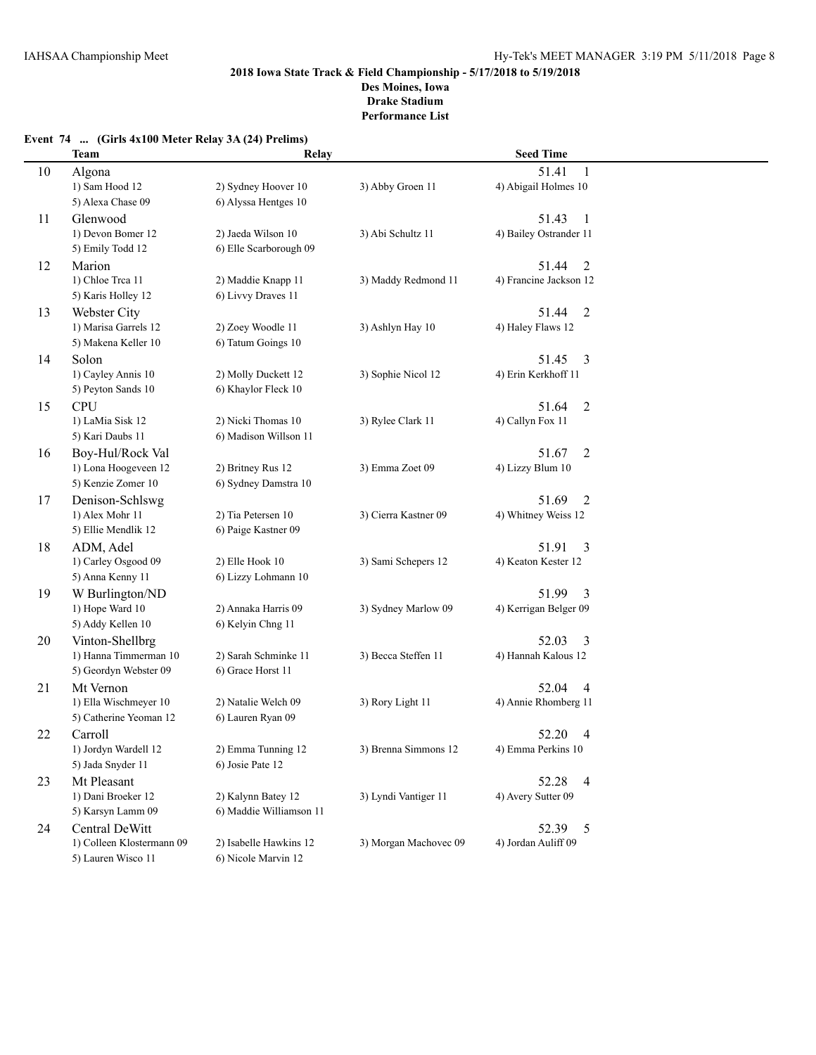# **Event 74 ... (Girls 4x100 Meter Relay 3A (24) Prelims)**

|    | <b>Team</b>               | Relay                   |                       | <b>Seed Time</b>                   |  |
|----|---------------------------|-------------------------|-----------------------|------------------------------------|--|
| 10 | Algona                    |                         |                       | 51.41<br>1                         |  |
|    | 1) Sam Hood 12            | 2) Sydney Hoover 10     | 3) Abby Groen 11      | 4) Abigail Holmes 10               |  |
|    | 5) Alexa Chase 09         | 6) Alyssa Hentges 10    |                       |                                    |  |
| 11 | Glenwood                  |                         |                       | 51.43<br>1                         |  |
|    | 1) Devon Bomer 12         | 2) Jaeda Wilson 10      | 3) Abi Schultz 11     | 4) Bailey Ostrander 11             |  |
|    | 5) Emily Todd 12          | 6) Elle Scarborough 09  |                       |                                    |  |
| 12 | Marion                    |                         |                       | 51.44<br>$\overline{2}$            |  |
|    | 1) Chloe Trea 11          | 2) Maddie Knapp 11      | 3) Maddy Redmond 11   | 4) Francine Jackson 12             |  |
|    | 5) Karis Holley 12        | 6) Livvy Draves 11      |                       |                                    |  |
| 13 | Webster City              |                         |                       | 51.44<br>2                         |  |
|    | 1) Marisa Garrels 12      | 2) Zoey Woodle 11       | 3) Ashlyn Hay 10      | 4) Haley Flaws 12                  |  |
|    | 5) Makena Keller 10       | 6) Tatum Goings 10      |                       |                                    |  |
| 14 | Solon                     |                         |                       | 51.45<br>3                         |  |
|    | 1) Cayley Annis 10        | 2) Molly Duckett 12     | 3) Sophie Nicol 12    | 4) Erin Kerkhoff 11                |  |
|    | 5) Peyton Sands 10        | 6) Khaylor Fleck 10     |                       |                                    |  |
|    | <b>CPU</b>                |                         |                       | 51.64                              |  |
| 15 | 1) LaMia Sisk 12          | 2) Nicki Thomas 10      | 3) Rylee Clark 11     | $\overline{c}$<br>4) Callyn Fox 11 |  |
|    |                           | 6) Madison Willson 11   |                       |                                    |  |
|    | 5) Kari Daubs 11          |                         |                       |                                    |  |
| 16 | Boy-Hul/Rock Val          |                         |                       | 51.67<br>2                         |  |
|    | 1) Lona Hoogeveen 12      | 2) Britney Rus 12       | 3) Emma Zoet 09       | 4) Lizzy Blum 10                   |  |
|    | 5) Kenzie Zomer 10        | 6) Sydney Damstra 10    |                       |                                    |  |
| 17 | Denison-Schlswg           |                         |                       | 51.69<br>2                         |  |
|    | 1) Alex Mohr 11           | 2) Tia Petersen 10      | 3) Cierra Kastner 09  | 4) Whitney Weiss 12                |  |
|    | 5) Ellie Mendlik 12       | 6) Paige Kastner 09     |                       |                                    |  |
| 18 | ADM, Adel                 |                         |                       | 51.91<br>3                         |  |
|    | 1) Carley Osgood 09       | 2) Elle Hook 10         | 3) Sami Schepers 12   | 4) Keaton Kester 12                |  |
|    | 5) Anna Kenny 11          | 6) Lizzy Lohmann 10     |                       |                                    |  |
| 19 | W Burlington/ND           |                         |                       | 51.99<br>3                         |  |
|    | 1) Hope Ward 10           | 2) Annaka Harris 09     | 3) Sydney Marlow 09   | 4) Kerrigan Belger 09              |  |
|    | 5) Addy Kellen 10         | 6) Kelyin Chng 11       |                       |                                    |  |
| 20 | Vinton-Shellbrg           |                         |                       | 52.03<br>3                         |  |
|    | 1) Hanna Timmerman 10     | 2) Sarah Schminke 11    | 3) Becca Steffen 11   | 4) Hannah Kalous 12                |  |
|    | 5) Geordyn Webster 09     | 6) Grace Horst 11       |                       |                                    |  |
| 21 | Mt Vernon                 |                         |                       | 52.04<br>4                         |  |
|    | 1) Ella Wischmeyer 10     | 2) Natalie Welch 09     | 3) Rory Light 11      | 4) Annie Rhomberg 11               |  |
|    | 5) Catherine Yeoman 12    | 6) Lauren Ryan 09       |                       |                                    |  |
| 22 | Carroll                   |                         |                       | 52.20<br>$\overline{4}$            |  |
|    | 1) Jordyn Wardell 12      | 2) Emma Tunning 12      | 3) Brenna Simmons 12  | 4) Emma Perkins 10                 |  |
|    | 5) Jada Snyder 11         | 6) Josie Pate 12        |                       |                                    |  |
| 23 | Mt Pleasant               |                         |                       | 52.28<br>$\overline{4}$            |  |
|    | 1) Dani Broeker 12        | 2) Kalynn Batey 12      | 3) Lyndi Vantiger 11  | 4) Avery Sutter 09                 |  |
|    | 5) Karsyn Lamm 09         | 6) Maddie Williamson 11 |                       |                                    |  |
| 24 | Central DeWitt            |                         |                       | 52.39<br>5                         |  |
|    | 1) Colleen Klostermann 09 | 2) Isabelle Hawkins 12  | 3) Morgan Machovec 09 | 4) Jordan Auliff 09                |  |
|    | 5) Lauren Wisco 11        | 6) Nicole Marvin 12     |                       |                                    |  |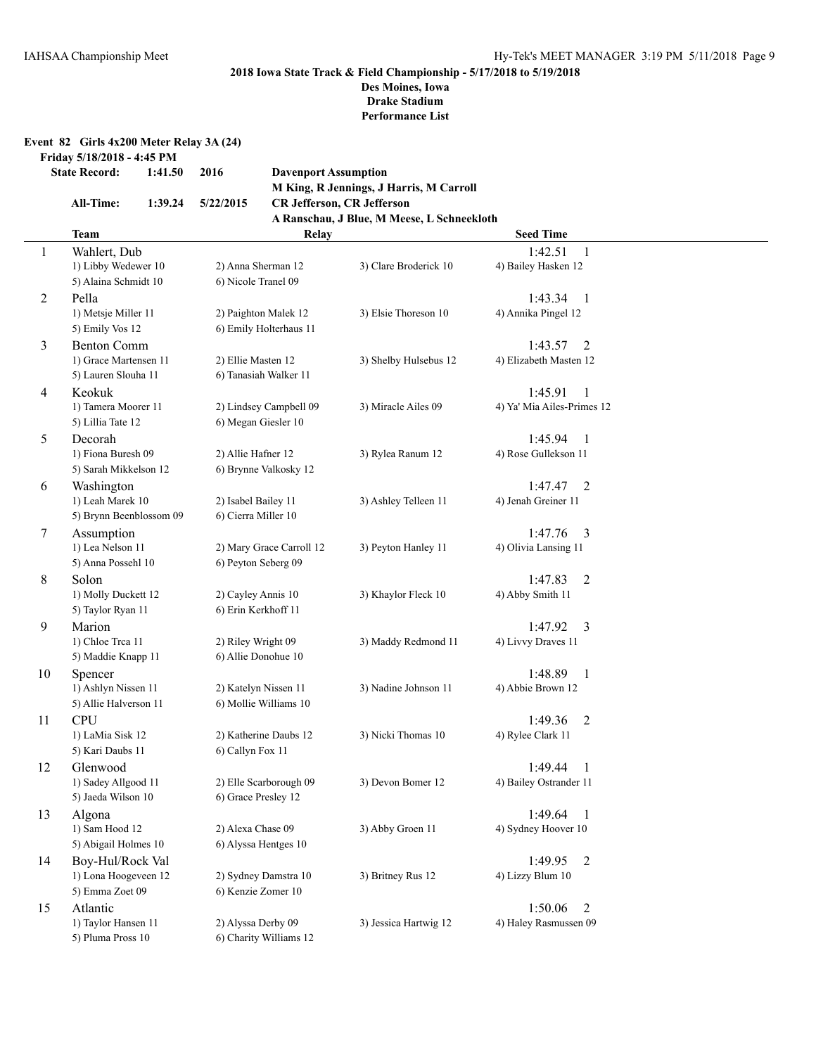**Performance List**

| Event 82 Girls 4x200 Meter Relay 3A (24) |  |  |  |  |  |  |  |
|------------------------------------------|--|--|--|--|--|--|--|
|------------------------------------------|--|--|--|--|--|--|--|

**Friday 5/18/2018 - 4:45 PM**

| <b>State Record:</b> | 1:41.50 | 2016 | <b>Davenport Assumption</b> |
|----------------------|---------|------|-----------------------------|
|                      |         |      | M King, R Jennings, J l     |

**M King, R Jennings, J Harris, M Carroll All-Time: 1:39.24 5/22/2015 CR Jefferson, CR Jefferson A Ranschau, J Blue, M Meese, L Schneekloth**

|              | <b>Team</b>                              | Relay                    |                       | <b>Seed Time</b>           |  |
|--------------|------------------------------------------|--------------------------|-----------------------|----------------------------|--|
| $\mathbf{1}$ | Wahlert, Dub                             |                          |                       | 1:42.51<br>1               |  |
|              | 1) Libby Wedewer 10                      | 2) Anna Sherman 12       | 3) Clare Broderick 10 | 4) Bailey Hasken 12        |  |
|              | 5) Alaina Schmidt 10                     | 6) Nicole Tranel 09      |                       |                            |  |
| 2            | Pella                                    |                          |                       | 1:43.34<br>- 1             |  |
|              | 1) Metsje Miller 11                      | 2) Paighton Malek 12     | 3) Elsie Thoreson 10  | 4) Annika Pingel 12        |  |
|              | 5) Emily Vos 12                          | 6) Emily Holterhaus 11   |                       |                            |  |
| 3            | <b>Benton Comm</b>                       |                          |                       | 1:43.57<br>2               |  |
|              | 1) Grace Martensen 11                    | 2) Ellie Masten 12       | 3) Shelby Hulsebus 12 | 4) Elizabeth Masten 12     |  |
|              | 5) Lauren Slouha 11                      | 6) Tanasiah Walker 11    |                       |                            |  |
| 4            | Keokuk                                   |                          |                       | 1:45.91<br>1               |  |
|              | 1) Tamera Moorer 11                      | 2) Lindsey Campbell 09   | 3) Miracle Ailes 09   | 4) Ya' Mia Ailes-Primes 12 |  |
|              | 5) Lillia Tate 12                        | 6) Megan Giesler 10      |                       |                            |  |
| 5            | Decorah                                  |                          |                       | 1:45.94<br>-1              |  |
|              | 1) Fiona Buresh 09                       | 2) Allie Hafner 12       | 3) Rylea Ranum 12     | 4) Rose Gullekson 11       |  |
|              | 5) Sarah Mikkelson 12                    | 6) Brynne Valkosky 12    |                       |                            |  |
| 6            | Washington                               |                          |                       | 1:47.47<br>2               |  |
|              | 1) Leah Marek 10                         | 2) Isabel Bailey 11      | 3) Ashley Telleen 11  | 4) Jenah Greiner 11        |  |
|              | 5) Brynn Beenblossom 09                  | 6) Cierra Miller 10      |                       |                            |  |
| 7            | Assumption                               |                          |                       | 1:47.76<br>$\overline{3}$  |  |
|              | 1) Lea Nelson 11                         | 2) Mary Grace Carroll 12 | 3) Peyton Hanley 11   | 4) Olivia Lansing 11       |  |
|              | 5) Anna Possehl 10                       | 6) Peyton Seberg 09      |                       |                            |  |
| 8            | Solon                                    |                          |                       | 1:47.83<br>$\overline{2}$  |  |
|              | 1) Molly Duckett 12                      | 2) Cayley Annis 10       | 3) Khaylor Fleck 10   | 4) Abby Smith 11           |  |
|              | 5) Taylor Ryan 11                        | 6) Erin Kerkhoff 11      |                       |                            |  |
| 9            | Marion                                   |                          |                       | 1:47.92<br>3               |  |
|              | 1) Chloe Trea 11                         | 2) Riley Wright 09       | 3) Maddy Redmond 11   | 4) Livvy Draves 11         |  |
|              | 5) Maddie Knapp 11                       | 6) Allie Donohue 10      |                       |                            |  |
| 10           | Spencer                                  |                          |                       | 1:48.89<br>-1              |  |
|              | 1) Ashlyn Nissen 11                      | 2) Katelyn Nissen 11     | 3) Nadine Johnson 11  | 4) Abbie Brown 12          |  |
|              | 5) Allie Halverson 11                    | 6) Mollie Williams 10    |                       |                            |  |
| 11           | <b>CPU</b>                               |                          |                       | 1:49.36<br>2               |  |
|              | 1) LaMia Sisk 12                         | 2) Katherine Daubs 12    | 3) Nicki Thomas 10    | 4) Rylee Clark 11          |  |
|              | 5) Kari Daubs 11                         | 6) Callyn Fox 11         |                       |                            |  |
| 12           | Glenwood                                 |                          |                       | 1:49.44<br>1               |  |
|              | 1) Sadey Allgood 11                      | 2) Elle Scarborough 09   | 3) Devon Bomer 12     | 4) Bailey Ostrander 11     |  |
|              | 5) Jaeda Wilson 10                       | 6) Grace Presley 12      |                       |                            |  |
| 13           | Algona                                   |                          |                       | 1:49.64<br>- 1             |  |
|              | 1) Sam Hood 12                           | 2) Alexa Chase 09        | 3) Abby Groen 11      | 4) Sydney Hoover 10        |  |
|              | 5) Abigail Holmes 10                     | 6) Alyssa Hentges 10     |                       |                            |  |
| 14           | Boy-Hul/Rock Val                         |                          |                       | 1:49.95<br>2               |  |
|              | 1) Lona Hoogeveen 12                     | 2) Sydney Damstra 10     | 3) Britney Rus 12     | 4) Lizzy Blum 10           |  |
|              | 5) Emma Zoet 09                          | 6) Kenzie Zomer 10       |                       |                            |  |
| 15           | Atlantic                                 |                          |                       | 1:50.06<br>2               |  |
|              | 1) Taylor Hansen 11<br>5) Pluma Pross 10 | 2) Alyssa Derby 09       | 3) Jessica Hartwig 12 | 4) Haley Rasmussen 09      |  |
|              |                                          | 6) Charity Williams 12   |                       |                            |  |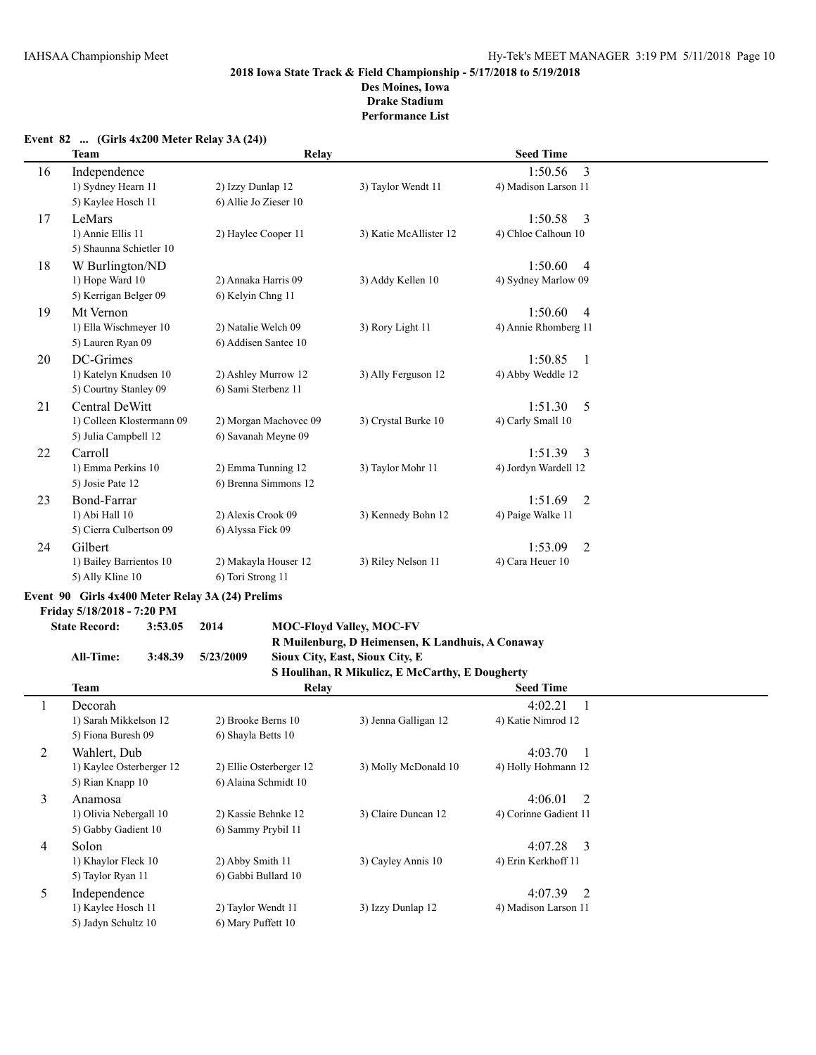|    | Team                      | Relay                 |                        | <b>Seed Time</b>          |  |
|----|---------------------------|-----------------------|------------------------|---------------------------|--|
| 16 | Independence              |                       |                        | 3<br>1:50.56              |  |
|    | 1) Sydney Hearn 11        | 2) Izzy Dunlap 12     | 3) Taylor Wendt 11     | 4) Madison Larson 11      |  |
|    | 5) Kaylee Hosch 11        | 6) Allie Jo Zieser 10 |                        |                           |  |
| 17 | LeMars                    |                       |                        | 1:50.58<br>3              |  |
|    | 1) Annie Ellis 11         | 2) Haylee Cooper 11   | 3) Katie McAllister 12 | 4) Chloe Calhoun 10       |  |
|    | 5) Shaunna Schietler 10   |                       |                        |                           |  |
| 18 | W Burlington/ND           |                       |                        | 1:50.60<br>$\overline{4}$ |  |
|    | 1) Hope Ward 10           | 2) Annaka Harris 09   | 3) Addy Kellen 10      | 4) Sydney Marlow 09       |  |
|    | 5) Kerrigan Belger 09     | 6) Kelyin Chng 11     |                        |                           |  |
| 19 | Mt Vernon                 |                       |                        | 1:50.60<br>$\overline{4}$ |  |
|    | 1) Ella Wischmeyer 10     | 2) Natalie Welch 09   | 3) Rory Light 11       | 4) Annie Rhomberg 11      |  |
|    | 5) Lauren Ryan 09         | 6) Addisen Santee 10  |                        |                           |  |
| 20 | DC-Grimes                 |                       |                        | 1:50.85<br>$\overline{1}$ |  |
|    | 1) Katelyn Knudsen 10     | 2) Ashley Murrow 12   | 3) Ally Ferguson 12    | 4) Abby Weddle 12         |  |
|    | 5) Courtny Stanley 09     | 6) Sami Sterbenz 11   |                        |                           |  |
| 21 | Central DeWitt            |                       |                        | 1:51.30<br>.5             |  |
|    | 1) Colleen Klostermann 09 | 2) Morgan Machovec 09 | 3) Crystal Burke 10    | 4) Carly Small 10         |  |
|    | 5) Julia Campbell 12      | 6) Savanah Meyne 09   |                        |                           |  |
| 22 | Carroll                   |                       |                        | 1:51.39<br>3              |  |
|    | 1) Emma Perkins 10        | 2) Emma Tunning 12    | 3) Taylor Mohr 11      | 4) Jordyn Wardell 12      |  |
|    | 5) Josie Pate 12          | 6) Brenna Simmons 12  |                        |                           |  |
| 23 | Bond-Farrar               |                       |                        | 1:51.69<br>2              |  |
|    | 1) Abi Hall 10            | 2) Alexis Crook 09    | 3) Kennedy Bohn 12     | 4) Paige Walke 11         |  |
|    | 5) Cierra Culbertson 09   | 6) Alyssa Fick 09     |                        |                           |  |
| 24 | Gilbert                   |                       |                        | 1:53.09<br>2              |  |
|    | 1) Bailey Barrientos 10   | 2) Makayla Houser 12  | 3) Riley Nelson 11     | 4) Cara Heuer 10          |  |
|    | 5) Ally Kline 10          | 6) Tori Strong 11     |                        |                           |  |

#### **Event 82 ... (Girls 4x200 Meter Relay 3A (24))**

# **Event 90 Girls 4x400 Meter Relay 3A (24) Prelims**

**Friday 5/18/2018 - 7:20 PM**

# **State Record: 3:53.05 2014 MOC-Floyd Valley, MOC-FV R Muilenburg, D Heimensen, K Landhuis, A Conaway**

# **All-Time: 3:48.39 5/23/2009 Sioux City, East, Sioux City, E**

|         |                          |                         | S Houlihan, R Mikulicz, E McCarthy, E Dougherty |                           |
|---------|--------------------------|-------------------------|-------------------------------------------------|---------------------------|
|         | <b>Team</b>              | Relay                   |                                                 | <b>Seed Time</b>          |
| $\perp$ | Decorah                  |                         |                                                 | 4:02.21                   |
|         | 1) Sarah Mikkelson 12    | 2) Brooke Berns 10      | 3) Jenna Galligan 12                            | 4) Katie Nimrod 12        |
|         | 5) Fiona Buresh 09       | 6) Shayla Betts 10      |                                                 |                           |
| 2       | Wahlert, Dub             |                         |                                                 | 4:03.70                   |
|         | 1) Kaylee Osterberger 12 | 2) Ellie Osterberger 12 | 3) Molly McDonald 10                            | 4) Holly Hohmann 12       |
|         | 5) Rian Knapp 10         | 6) Alaina Schmidt 10    |                                                 |                           |
| 3       | Anamosa                  |                         |                                                 | 4:06.01<br>$\overline{2}$ |
|         | 1) Olivia Nebergall 10   | 2) Kassie Behnke 12     | 3) Claire Duncan 12                             | 4) Corinne Gadient 11     |
|         | 5) Gabby Gadient 10      | 6) Sammy Prybil 11      |                                                 |                           |
| 4       | Solon                    |                         |                                                 | $4:07.28$ 3               |
|         | 1) Khaylor Fleck 10      | 2) Abby Smith 11        | 3) Cayley Annis 10                              | 4) Erin Kerkhoff 11       |
|         | 5) Taylor Ryan 11        | 6) Gabbi Bullard 10     |                                                 |                           |
| 5       | Independence             |                         |                                                 | 4:07.39<br>$\overline{2}$ |
|         | 1) Kaylee Hosch 11       | 2) Taylor Wendt 11      | 3) Izzy Dunlap 12                               | 4) Madison Larson 11      |
|         | 5) Jadyn Schultz 10      | 6) Mary Puffett 10      |                                                 |                           |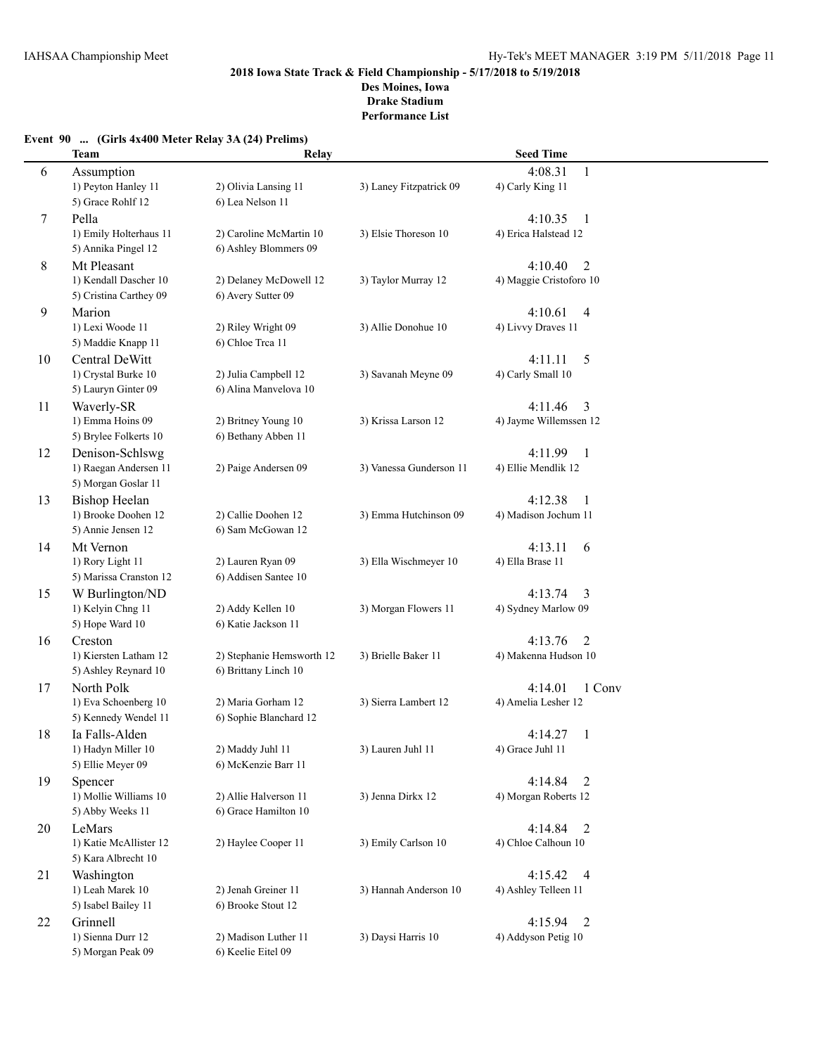**Performance List**

# **Event 90 ... (Girls 4x400 Meter Relay 3A (24) Prelims)**

|    | <b>Team</b>            | Relay                     |                         | <b>Seed Time</b>          |        |
|----|------------------------|---------------------------|-------------------------|---------------------------|--------|
| 6  | Assumption             |                           |                         | 4:08.31<br>$\mathbf{1}$   |        |
|    | 1) Peyton Hanley 11    | 2) Olivia Lansing 11      | 3) Laney Fitzpatrick 09 | 4) Carly King 11          |        |
|    | 5) Grace Rohlf 12      | 6) Lea Nelson 11          |                         |                           |        |
| 7  | Pella                  |                           |                         | 4:10.35<br>-1             |        |
|    | 1) Emily Holterhaus 11 | 2) Caroline McMartin 10   | 3) Elsie Thoreson 10    | 4) Erica Halstead 12      |        |
|    | 5) Annika Pingel 12    | 6) Ashley Blommers 09     |                         |                           |        |
| 8  | Mt Pleasant            |                           |                         | $\overline{2}$<br>4:10.40 |        |
|    | 1) Kendall Dascher 10  | 2) Delaney McDowell 12    | 3) Taylor Murray 12     | 4) Maggie Cristoforo 10   |        |
|    | 5) Cristina Carthey 09 | 6) Avery Sutter 09        |                         |                           |        |
| 9  | Marion                 |                           |                         | 4:10.61<br>$\overline{4}$ |        |
|    | 1) Lexi Woode 11       | 2) Riley Wright 09        | 3) Allie Donohue 10     | 4) Livvy Draves 11        |        |
|    | 5) Maddie Knapp 11     | 6) Chloe Trea 11          |                         |                           |        |
| 10 | Central DeWitt         |                           |                         | 4:11.11<br>5              |        |
|    | 1) Crystal Burke 10    | 2) Julia Campbell 12      | 3) Savanah Meyne 09     | 4) Carly Small 10         |        |
|    | 5) Lauryn Ginter 09    | 6) Alina Manvelova 10     |                         |                           |        |
| 11 | Waverly-SR             |                           |                         | 4:11.46<br>3              |        |
|    | 1) Emma Hoins 09       | 2) Britney Young 10       | 3) Krissa Larson 12     | 4) Jayme Willemssen 12    |        |
|    | 5) Brylee Folkerts 10  | 6) Bethany Abben 11       |                         |                           |        |
| 12 | Denison-Schlswg        |                           |                         | 4:11.99<br>-1             |        |
|    | 1) Raegan Andersen 11  | 2) Paige Andersen 09      | 3) Vanessa Gunderson 11 | 4) Ellie Mendlik 12       |        |
|    | 5) Morgan Goslar 11    |                           |                         |                           |        |
| 13 | <b>Bishop Heelan</b>   |                           |                         | 4:12.38<br>-1             |        |
|    | 1) Brooke Doohen 12    | 2) Callie Doohen 12       | 3) Emma Hutchinson 09   | 4) Madison Jochum 11      |        |
|    | 5) Annie Jensen 12     | 6) Sam McGowan 12         |                         |                           |        |
| 14 | Mt Vernon              |                           |                         | 4:13.11<br>6              |        |
|    | 1) Rory Light 11       | 2) Lauren Ryan 09         | 3) Ella Wischmeyer 10   | 4) Ella Brase 11          |        |
|    | 5) Marissa Cranston 12 | 6) Addisen Santee 10      |                         |                           |        |
| 15 | W Burlington/ND        |                           |                         | 4:13.74<br>3              |        |
|    | 1) Kelyin Chng 11      | 2) Addy Kellen 10         | 3) Morgan Flowers 11    | 4) Sydney Marlow 09       |        |
|    | 5) Hope Ward 10        | 6) Katie Jackson 11       |                         |                           |        |
| 16 | Creston                |                           |                         | 4:13.76<br>2              |        |
|    | 1) Kiersten Latham 12  | 2) Stephanie Hemsworth 12 | 3) Brielle Baker 11     | 4) Makenna Hudson 10      |        |
|    | 5) Ashley Reynard 10   | 6) Brittany Linch 10      |                         |                           |        |
| 17 | North Polk             |                           |                         | 4:14.01                   | 1 Conv |
|    | 1) Eva Schoenberg 10   | 2) Maria Gorham 12        | 3) Sierra Lambert 12    | 4) Amelia Lesher 12       |        |
|    | 5) Kennedy Wendel 11   | 6) Sophie Blanchard 12    |                         |                           |        |
| 18 | Ia Falls-Alden         |                           |                         | 4:14.27<br>1              |        |
|    | 1) Hadyn Miller 10     | 2) Maddy Juhl 11          | 3) Lauren Juhl 11       | 4) Grace Juhl 11          |        |
|    | 5) Ellie Meyer 09      | 6) McKenzie Barr 11       |                         |                           |        |
| 19 | Spencer                |                           |                         | 4:14.84<br>2              |        |
|    | 1) Mollie Williams 10  | 2) Allie Halverson 11     | 3) Jenna Dirkx 12       | 4) Morgan Roberts 12      |        |
|    | 5) Abby Weeks 11       | 6) Grace Hamilton 10      |                         |                           |        |
| 20 | LeMars                 |                           |                         | 4:14.84<br>2              |        |
|    | 1) Katie McAllister 12 | 2) Haylee Cooper 11       | 3) Emily Carlson 10     | 4) Chloe Calhoun 10       |        |
|    | 5) Kara Albrecht 10    |                           |                         |                           |        |
| 21 | Washington             |                           |                         | 4:15.42<br>$\overline{4}$ |        |
|    | 1) Leah Marek 10       | 2) Jenah Greiner 11       | 3) Hannah Anderson 10   | 4) Ashley Telleen 11      |        |
|    | 5) Isabel Bailey 11    | 6) Brooke Stout 12        |                         |                           |        |
| 22 | Grinnell               |                           |                         | 4:15.94<br>2              |        |
|    | 1) Sienna Durr 12      | 2) Madison Luther 11      | 3) Daysi Harris 10      | 4) Addyson Petig 10       |        |
|    | 5) Morgan Peak 09      | 6) Keelie Eitel 09        |                         |                           |        |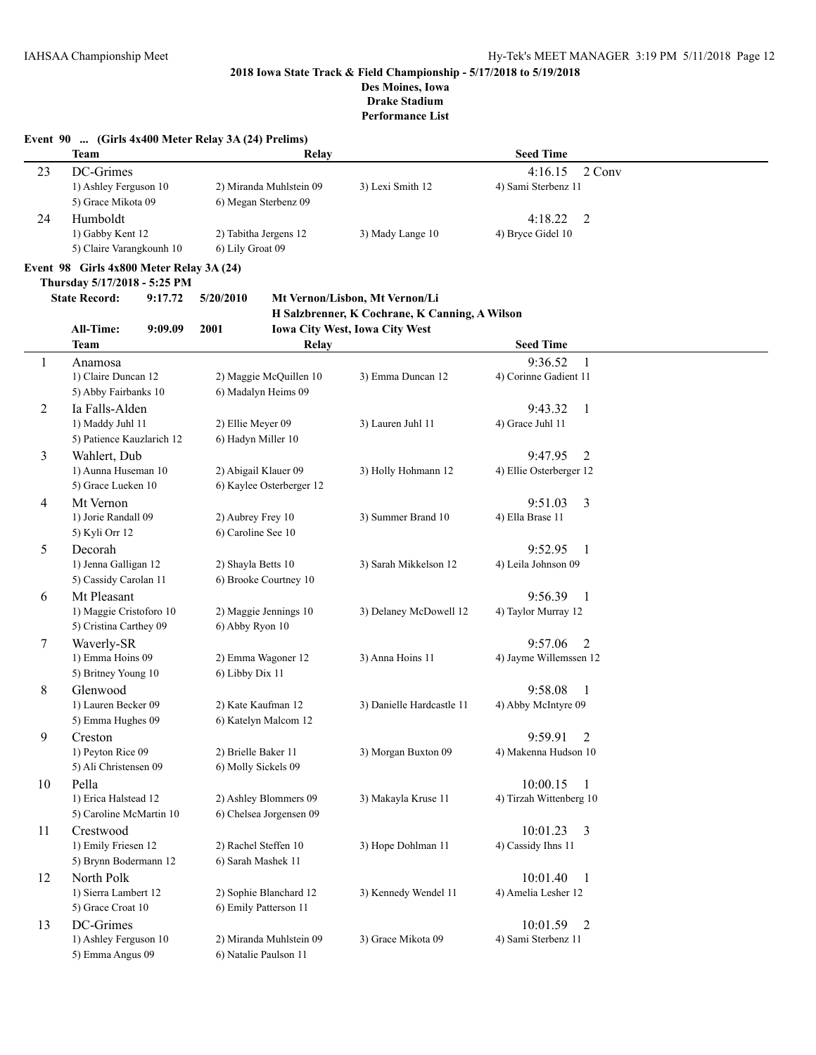**Performance List**

|                | <b>Team</b>                                       | Relay                                           |                                                | <b>Seed Time</b>          |  |
|----------------|---------------------------------------------------|-------------------------------------------------|------------------------------------------------|---------------------------|--|
| 23             | DC-Grimes                                         |                                                 |                                                | 4:16.15<br>2 Conv         |  |
|                | 1) Ashley Ferguson 10<br>5) Grace Mikota 09       | 2) Miranda Muhlstein 09<br>6) Megan Sterbenz 09 | 3) Lexi Smith 12                               | 4) Sami Sterbenz 11       |  |
| 24             | Humboldt                                          |                                                 |                                                | 4:18.22<br>2              |  |
|                | 1) Gabby Kent 12<br>5) Claire Varangkounh 10      | 2) Tabitha Jergens 12<br>6) Lily Groat 09       | 3) Mady Lange 10                               | 4) Bryce Gidel 10         |  |
|                | Event 98 Girls 4x800 Meter Relay 3A (24)          |                                                 |                                                |                           |  |
|                | Thursday 5/17/2018 - 5:25 PM                      |                                                 |                                                |                           |  |
|                | <b>State Record:</b><br>9:17.72                   | 5/20/2010                                       | Mt Vernon/Lisbon, Mt Vernon/Li                 |                           |  |
|                |                                                   |                                                 | H Salzbrenner, K Cochrane, K Canning, A Wilson |                           |  |
|                | All-Time:<br>9:09.09                              | 2001                                            | Iowa City West, Iowa City West                 |                           |  |
|                | Team                                              | <b>Relay</b>                                    |                                                | <b>Seed Time</b>          |  |
| 1              | Anamosa                                           |                                                 |                                                | 9:36.52<br>-1             |  |
|                | 1) Claire Duncan 12                               | 2) Maggie McQuillen 10                          | 3) Emma Duncan 12                              | 4) Corinne Gadient 11     |  |
|                | 5) Abby Fairbanks 10                              | 6) Madalyn Heims 09                             |                                                |                           |  |
| $\overline{c}$ | Ia Falls-Alden                                    |                                                 |                                                | 9:43.32<br>-1             |  |
|                | 1) Maddy Juhl 11                                  | 2) Ellie Meyer 09                               | 3) Lauren Juhl 11                              | 4) Grace Juhl 11          |  |
|                | 5) Patience Kauzlarich 12                         | 6) Hadyn Miller 10                              |                                                |                           |  |
| 3              | Wahlert, Dub                                      |                                                 |                                                | 9:47.95<br>2              |  |
|                | 1) Aunna Huseman 10                               | 2) Abigail Klauer 09                            | 3) Holly Hohmann 12                            | 4) Ellie Osterberger 12   |  |
|                | 5) Grace Lueken 10                                | 6) Kaylee Osterberger 12                        |                                                |                           |  |
| 4              | Mt Vernon                                         |                                                 |                                                | 9:51.03<br>3              |  |
|                | 1) Jorie Randall 09                               | 2) Aubrey Frey 10                               | 3) Summer Brand 10                             | 4) Ella Brase 11          |  |
|                | 5) Kyli Orr 12                                    | 6) Caroline See 10                              |                                                |                           |  |
| 5              | Decorah                                           |                                                 |                                                | 9:52.95<br>-1             |  |
|                | 1) Jenna Galligan 12<br>5) Cassidy Carolan 11     | 2) Shayla Betts 10<br>6) Brooke Courtney 10     | 3) Sarah Mikkelson 12                          | 4) Leila Johnson 09       |  |
| 6              | Mt Pleasant                                       |                                                 |                                                | 9:56.39<br>-1             |  |
|                | 1) Maggie Cristoforo 10<br>5) Cristina Carthey 09 | 2) Maggie Jennings 10<br>6) Abby Ryon 10        | 3) Delaney McDowell 12                         | 4) Taylor Murray 12       |  |
| 7              | Waverly-SR                                        |                                                 |                                                | 9:57.06<br>2              |  |
|                | 1) Emma Hoins 09<br>5) Britney Young 10           | 2) Emma Wagoner 12<br>6) Libby Dix 11           | 3) Anna Hoins 11                               | 4) Jayme Willemssen 12    |  |
| 8              | Glenwood                                          |                                                 |                                                | 9:58.08<br>-1             |  |
|                | 1) Lauren Becker 09                               | 2) Kate Kaufman 12                              | 3) Danielle Hardcastle 11                      | 4) Abby McIntyre 09       |  |
|                | 5) Emma Hughes 09                                 | 6) Katelyn Malcom 12                            |                                                |                           |  |
| 9              | Creston                                           |                                                 |                                                | 9:59.91<br>$\overline{2}$ |  |
|                | 1) Peyton Rice 09                                 | 2) Brielle Baker 11                             | 3) Morgan Buxton 09                            | 4) Makenna Hudson 10      |  |
|                | 5) Ali Christensen 09                             | 6) Molly Sickels 09                             |                                                |                           |  |
| 10             | Pella                                             |                                                 |                                                | 10:00.15<br>-1            |  |
|                | 1) Erica Halstead 12                              | 2) Ashley Blommers 09                           | 3) Makayla Kruse 11                            | 4) Tirzah Wittenberg 10   |  |
|                | 5) Caroline McMartin 10                           | 6) Chelsea Jorgensen 09                         |                                                |                           |  |
| 11             | Crestwood                                         |                                                 |                                                | 10:01.23<br>3             |  |
|                | 1) Emily Friesen 12                               | 2) Rachel Steffen 10                            | 3) Hope Dohlman 11                             | 4) Cassidy Ihns 11        |  |
|                | 5) Brynn Bodermann 12                             | 6) Sarah Mashek 11                              |                                                |                           |  |
| 12             | North Polk                                        |                                                 |                                                | 10:01.40<br>-1            |  |
|                | 1) Sierra Lambert 12                              | 2) Sophie Blanchard 12                          | 3) Kennedy Wendel 11                           | 4) Amelia Lesher 12       |  |
|                | 5) Grace Croat 10                                 | 6) Emily Patterson 11                           |                                                |                           |  |
| 13             | DC-Grimes                                         |                                                 |                                                | 10:01.59<br>2             |  |
|                | 1) Ashley Ferguson 10                             | 2) Miranda Muhlstein 09                         | 3) Grace Mikota 09                             | 4) Sami Sterbenz 11       |  |
|                | 5) Emma Angus 09                                  | 6) Natalie Paulson 11                           |                                                |                           |  |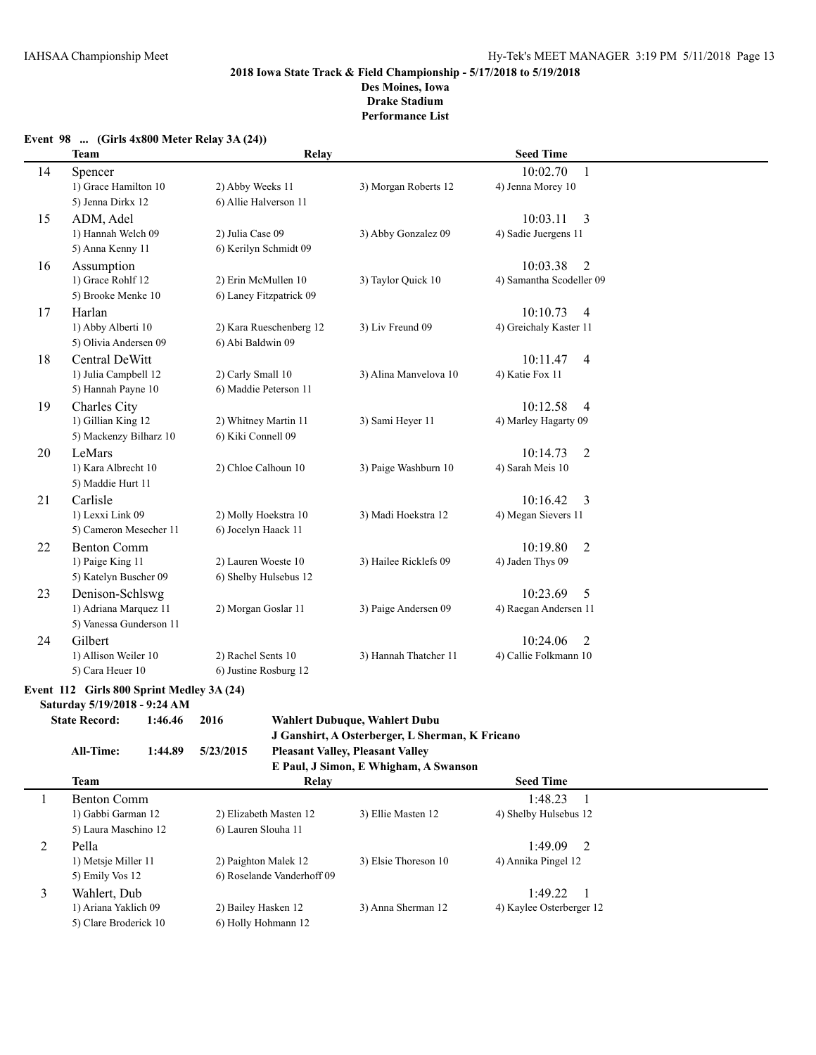## **Event 98 ... (Girls 4x800 Meter Relay 3A (24))**

|    | <b>Team</b>                   | <b>Relay</b>            |                       | <b>Seed Time</b>           |  |
|----|-------------------------------|-------------------------|-----------------------|----------------------------|--|
| 14 | Spencer                       |                         |                       | 10:02.70<br>$\mathbf{1}$   |  |
|    | 1) Grace Hamilton 10          | 2) Abby Weeks 11        | 3) Morgan Roberts 12  | 4) Jenna Morey 10          |  |
|    | 5) Jenna Dirkx 12             | 6) Allie Halverson 11   |                       |                            |  |
| 15 | ADM, Adel                     |                         |                       | 3<br>10:03.11              |  |
|    | 1) Hannah Welch 09            | 2) Julia Case 09        | 3) Abby Gonzalez 09   | 4) Sadie Juergens 11       |  |
|    | 5) Anna Kenny 11              | 6) Kerilyn Schmidt 09   |                       |                            |  |
| 16 | Assumption                    |                         |                       | 10:03.38<br>2              |  |
|    | 1) Grace Rohlf 12             | 2) Erin McMullen 10     | 3) Taylor Quick 10    | 4) Samantha Scodeller 09   |  |
|    | 5) Brooke Menke 10            | 6) Laney Fitzpatrick 09 |                       |                            |  |
| 17 | Harlan                        |                         |                       | 10:10.73<br>$\overline{4}$ |  |
|    | 1) Abby Alberti 10            | 2) Kara Rueschenberg 12 | 3) Liv Freund 09      | 4) Greichaly Kaster 11     |  |
|    | 5) Olivia Andersen 09         | 6) Abi Baldwin 09       |                       |                            |  |
| 18 | Central DeWitt                |                         |                       | 10:11.47<br>$\overline{4}$ |  |
|    | 1) Julia Campbell 12          | 2) Carly Small 10       | 3) Alina Manvelova 10 | 4) Katie Fox 11            |  |
|    | 5) Hannah Payne 10            | 6) Maddie Peterson 11   |                       |                            |  |
| 19 | Charles City                  |                         |                       | 10:12.58<br>$\overline{4}$ |  |
|    | 1) Gillian King 12            | 2) Whitney Martin 11    | 3) Sami Heyer 11      | 4) Marley Hagarty 09       |  |
|    | 5) Mackenzy Bilharz 10        | 6) Kiki Connell 09      |                       |                            |  |
| 20 | LeMars<br>1) Kara Albrecht 10 |                         |                       | 10:14.73<br>$\overline{2}$ |  |
|    | 5) Maddie Hurt 11             | 2) Chloe Calhoun 10     | 3) Paige Washburn 10  | 4) Sarah Meis 10           |  |
| 21 | Carlisle                      |                         |                       | 3<br>10:16.42              |  |
|    | 1) Lexxi Link 09              | 2) Molly Hoekstra 10    | 3) Madi Hoekstra 12   | 4) Megan Sievers 11        |  |
|    | 5) Cameron Mesecher 11        | 6) Jocelyn Haack 11     |                       |                            |  |
| 22 | <b>Benton Comm</b>            |                         |                       | 10:19.80<br>$\overline{2}$ |  |
|    | 1) Paige King 11              | 2) Lauren Woeste 10     | 3) Hailee Ricklefs 09 | 4) Jaden Thys 09           |  |
|    | 5) Katelyn Buscher 09         | 6) Shelby Hulsebus 12   |                       |                            |  |
| 23 | Denison-Schlswg               |                         |                       | 10:23.69<br>5              |  |
|    | 1) Adriana Marquez 11         | 2) Morgan Goslar 11     | 3) Paige Andersen 09  | 4) Raegan Andersen 11      |  |
|    | 5) Vanessa Gunderson 11       |                         |                       |                            |  |
| 24 | Gilbert                       |                         |                       | 10:24.06<br>2              |  |
|    | 1) Allison Weiler 10          | 2) Rachel Sents 10      | 3) Hannah Thatcher 11 | 4) Callie Folkmann 10      |  |
|    | 5) Cara Heuer 10              | 6) Justine Rosburg 12   |                       |                            |  |
|    |                               |                         |                       |                            |  |

# **Event 112 Girls 800 Sprint Medley 3A (24)**

**Saturday 5/19/2018 - 9:24 AM**

# **State Record: 1:46.46 2016 Wahlert Dubuque, Wahlert Dubu J Ganshirt, A Osterberger, L Sherman, K Fricano**

```
All-Time: 1:44.89 5/23/2015 Pleasant Valley, Pleasant Valley
```

|                       |                            | E Paul, J Simon, E Whigham, A Swanson |                           |  |
|-----------------------|----------------------------|---------------------------------------|---------------------------|--|
| <b>Team</b>           | Relay                      |                                       | <b>Seed Time</b>          |  |
| Benton Comm           |                            |                                       | 1:48.23                   |  |
| 1) Gabbi Garman 12    | 2) Elizabeth Masten 12     | 3) Ellie Masten 12                    | 4) Shelby Hulsebus 12     |  |
| 5) Laura Maschino 12  | 6) Lauren Slouha 11        |                                       |                           |  |
| Pella                 |                            |                                       | 1:49.09<br>$\overline{2}$ |  |
| 1) Metsje Miller 11   | 2) Paighton Malek 12       | 3) Elsie Thoreson 10                  | 4) Annika Pingel 12       |  |
| 5) Emily Vos 12       | 6) Roselande Vanderhoff 09 |                                       |                           |  |
| Wahlert, Dub          |                            |                                       | 1:49.22<br>- 1            |  |
| 1) Ariana Yaklich 09  | 2) Bailey Hasken 12        | 3) Anna Sherman 12                    | 4) Kaylee Osterberger 12  |  |
| 5) Clare Broderick 10 | 6) Holly Hohmann 12        |                                       |                           |  |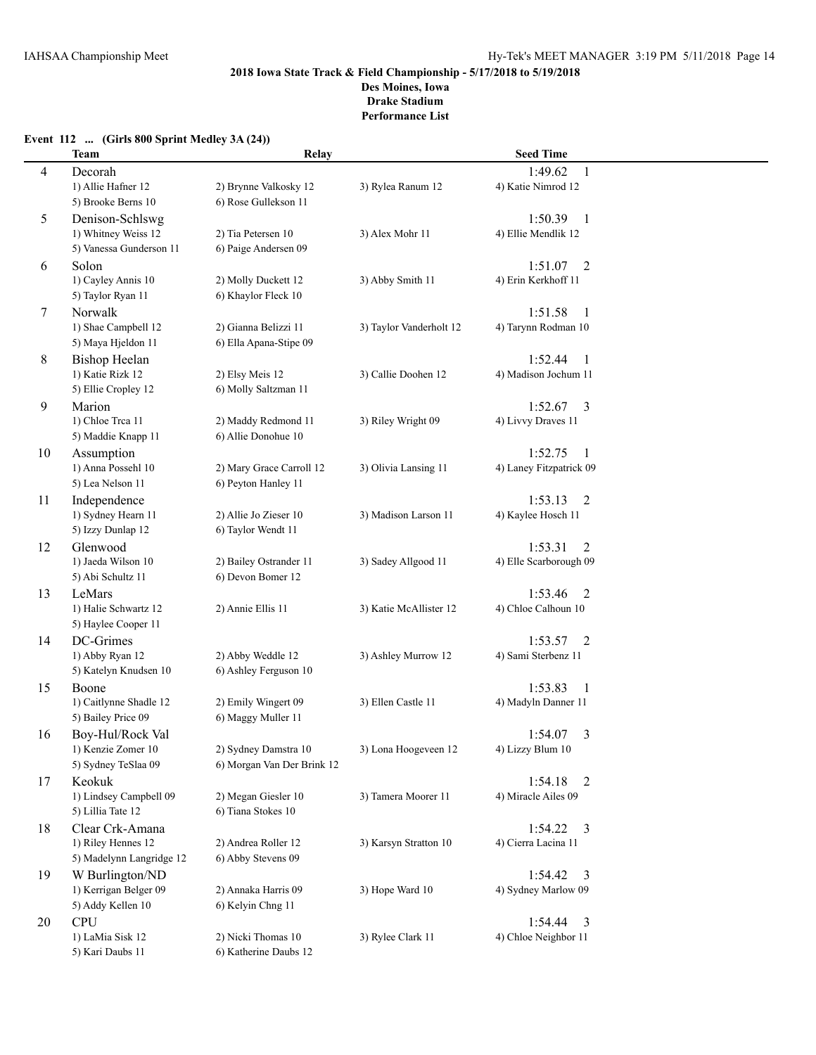# **Event 112 ... (Girls 800 Sprint Medley 3A (24))**

|    | <b>Team</b>              | Relay                      |                         | <b>Seed Time</b>          |  |
|----|--------------------------|----------------------------|-------------------------|---------------------------|--|
| 4  | Decorah                  |                            |                         | 1:49.62<br>1              |  |
|    | 1) Allie Hafner 12       | 2) Brynne Valkosky 12      | 3) Rylea Ranum 12       | 4) Katie Nimrod 12        |  |
|    | 5) Brooke Berns 10       | 6) Rose Gullekson 11       |                         |                           |  |
| 5  | Denison-Schlswg          |                            |                         | 1:50.39<br>$\mathbf{1}$   |  |
|    | 1) Whitney Weiss 12      | 2) Tia Petersen 10         | 3) Alex Mohr 11         | 4) Ellie Mendlik 12       |  |
|    | 5) Vanessa Gunderson 11  | 6) Paige Andersen 09       |                         |                           |  |
| 6  | Solon                    |                            |                         | 1:51.07<br>2              |  |
|    | 1) Cayley Annis 10       | 2) Molly Duckett 12        | 3) Abby Smith 11        | 4) Erin Kerkhoff 11       |  |
|    | 5) Taylor Ryan 11        | 6) Khaylor Fleck 10        |                         |                           |  |
| 7  | Norwalk                  |                            |                         | 1:51.58<br>-1             |  |
|    | 1) Shae Campbell 12      | 2) Gianna Belizzi 11       | 3) Taylor Vanderholt 12 | 4) Tarynn Rodman 10       |  |
|    | 5) Maya Hjeldon 11       | 6) Ella Apana-Stipe 09     |                         |                           |  |
| 8  | <b>Bishop Heelan</b>     |                            |                         | 1:52.44<br>1              |  |
|    | 1) Katie Rizk 12         | 2) Elsy Meis 12            | 3) Callie Doohen 12     | 4) Madison Jochum 11      |  |
|    | 5) Ellie Cropley 12      | 6) Molly Saltzman 11       |                         |                           |  |
| 9  | Marion                   |                            |                         | $1:52.67$ 3               |  |
|    | 1) Chloe Trea 11         | 2) Maddy Redmond 11        | 3) Riley Wright 09      | 4) Livvy Draves 11        |  |
|    | 5) Maddie Knapp 11       | 6) Allie Donohue 10        |                         |                           |  |
| 10 | Assumption               |                            |                         | 1:52.75<br>1              |  |
|    | 1) Anna Possehl 10       | 2) Mary Grace Carroll 12   | 3) Olivia Lansing 11    | 4) Laney Fitzpatrick 09   |  |
|    | 5) Lea Nelson 11         | 6) Peyton Hanley 11        |                         |                           |  |
| 11 | Independence             |                            |                         | 1:53.13<br>2              |  |
|    | 1) Sydney Hearn 11       | 2) Allie Jo Zieser 10      | 3) Madison Larson 11    | 4) Kaylee Hosch 11        |  |
|    | 5) Izzy Dunlap 12        | 6) Taylor Wendt 11         |                         |                           |  |
| 12 | Glenwood                 |                            |                         | 1:53.31<br>2              |  |
|    | 1) Jaeda Wilson 10       | 2) Bailey Ostrander 11     | 3) Sadey Allgood 11     | 4) Elle Scarborough 09    |  |
|    | 5) Abi Schultz 11        | 6) Devon Bomer 12          |                         |                           |  |
| 13 | LeMars                   |                            |                         | 1:53.46<br>2              |  |
|    | 1) Halie Schwartz 12     | 2) Annie Ellis 11          | 3) Katie McAllister 12  | 4) Chloe Calhoun 10       |  |
|    | 5) Haylee Cooper 11      |                            |                         |                           |  |
| 14 | DC-Grimes                |                            |                         | 1:53.57<br>2              |  |
|    | 1) Abby Ryan 12          | 2) Abby Weddle 12          | 3) Ashley Murrow 12     | 4) Sami Sterbenz 11       |  |
|    | 5) Katelyn Knudsen 10    | 6) Ashley Ferguson 10      |                         |                           |  |
| 15 | Boone                    |                            |                         | 1:53.83<br>1              |  |
|    | 1) Caitlynne Shadle 12   | 2) Emily Wingert 09        | 3) Ellen Castle 11      | 4) Madyln Danner 11       |  |
|    | 5) Bailey Price 09       | 6) Maggy Muller 11         |                         |                           |  |
| 16 | Boy-Hul/Rock Val         |                            |                         | 3<br>1:54.07              |  |
|    | 1) Kenzie Zomer 10       | 2) Sydney Damstra 10       | 3) Lona Hoogeveen 12    | 4) Lizzy Blum 10          |  |
|    | 5) Sydney TeSlaa 09      | 6) Morgan Van Der Brink 12 |                         |                           |  |
| 17 | Keokuk                   |                            |                         | 1:54.18<br>$\overline{2}$ |  |
|    | 1) Lindsey Campbell 09   | 2) Megan Giesler 10        | 3) Tamera Moorer 11     | 4) Miracle Ailes 09       |  |
|    | 5) Lillia Tate 12        | 6) Tiana Stokes 10         |                         |                           |  |
| 18 | Clear Crk-Amana          |                            |                         | $1:54.22$ 3               |  |
|    | 1) Riley Hennes 12       | 2) Andrea Roller 12        | 3) Karsyn Stratton 10   | 4) Cierra Lacina 11       |  |
|    | 5) Madelynn Langridge 12 | 6) Abby Stevens 09         |                         |                           |  |
| 19 | W Burlington/ND          |                            |                         | 1:54.42<br>3              |  |
|    | 1) Kerrigan Belger 09    | 2) Annaka Harris 09        | 3) Hope Ward 10         | 4) Sydney Marlow 09       |  |
|    | 5) Addy Kellen 10        | 6) Kelyin Chng 11          |                         |                           |  |
| 20 | <b>CPU</b>               |                            |                         | 1:54.44<br>$\overline{3}$ |  |
|    | 1) LaMia Sisk 12         | 2) Nicki Thomas 10         | 3) Rylee Clark 11       | 4) Chloe Neighbor 11      |  |
|    | 5) Kari Daubs 11         | 6) Katherine Daubs 12      |                         |                           |  |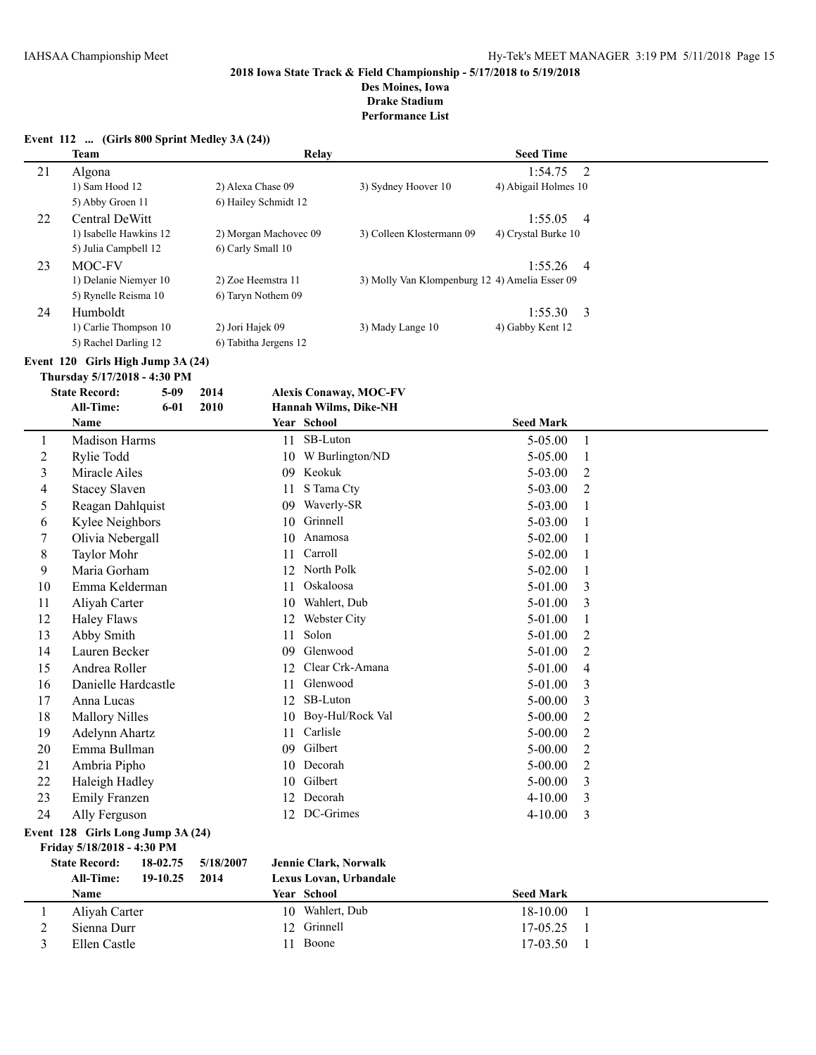**Des Moines, Iowa Drake Stadium**

**Performance List**

|  | Event $112$ (Girls 800 Sprint Medley 3A (24)) |  |
|--|-----------------------------------------------|--|
|  |                                               |  |

|    | Team                   | Relay                 |                                                | <b>Seed Time</b>     |                |
|----|------------------------|-----------------------|------------------------------------------------|----------------------|----------------|
| 21 | Algona                 |                       |                                                | 1:54.75              | $\overline{2}$ |
|    | 1) Sam Hood 12         | 2) Alexa Chase 09     | 3) Sydney Hoover 10                            | 4) Abigail Holmes 10 |                |
|    | 5) Abby Groen 11       | 6) Hailey Schmidt 12  |                                                |                      |                |
| 22 | Central DeWitt         |                       |                                                | 1:55.05              | -4             |
|    | 1) Isabelle Hawkins 12 | 2) Morgan Machovec 09 | 3) Colleen Klostermann 09                      | 4) Crystal Burke 10  |                |
|    | 5) Julia Campbell 12   | 6) Carly Small 10     |                                                |                      |                |
| 23 | MOC-FV                 |                       |                                                | $1:55.26$ 4          |                |
|    | 1) Delanie Niemyer 10  | 2) Zoe Heemstra 11    | 3) Molly Van Klompenburg 12 4) Amelia Esser 09 |                      |                |
|    | 5) Rynelle Reisma 10   | 6) Taryn Nothem 09    |                                                |                      |                |
| 24 | Humboldt               |                       |                                                | 1:55.30              | - 3            |
|    | 1) Carlie Thompson 10  | 2) Jori Hajek 09      | 3) Mady Lange 10                               | 4) Gabby Kent 12     |                |
|    | 5) Rachel Darling 12   | 6) Tabitha Jergens 12 |                                                |                      |                |

**Event 120 Girls High Jump 3A (24)**

|    | Thursday 5/17/2018 - 4:30 PM |      |    |                               |                  |                |  |
|----|------------------------------|------|----|-------------------------------|------------------|----------------|--|
|    | <b>State Record:</b><br>5-09 | 2014 |    | <b>Alexis Conaway, MOC-FV</b> |                  |                |  |
|    | <b>All-Time:</b><br>$6 - 01$ | 2010 |    | Hannah Wilms, Dike-NH         |                  |                |  |
|    | <b>Name</b>                  |      |    | Year School                   | <b>Seed Mark</b> |                |  |
| 1  | Madison Harms                |      | 11 | SB-Luton                      | 5-05.00          | 1              |  |
| 2  | Rylie Todd                   |      | 10 | W Burlington/ND               | 5-05.00          |                |  |
| 3  | Miracle Ailes                |      | 09 | Keokuk                        | 5-03.00          | $\mathfrak{D}$ |  |
| 4  | <b>Stacey Slaven</b>         |      | 11 | S Tama Cty                    | 5-03.00          | 2              |  |
| 5  | Reagan Dahlquist             |      | 09 | Waverly-SR                    | 5-03.00          | 1              |  |
| 6  | Kylee Neighbors              |      | 10 | Grinnell                      | 5-03.00          | 1              |  |
| 7  | Olivia Nebergall             |      | 10 | Anamosa                       | $5-02.00$        |                |  |
| 8  | <b>Taylor Mohr</b>           |      | 11 | Carroll                       | $5-02.00$        |                |  |
| 9  | Maria Gorham                 |      | 12 | North Polk                    | $5-02.00$        |                |  |
| 10 | Emma Kelderman               |      | 11 | <b>Oskaloosa</b>              | 5-01.00          | 3              |  |
| 11 | Alivah Carter                |      | 10 | Wahlert, Dub                  | 5-01.00          | 3              |  |
| 12 | Haley Flaws                  |      | 12 | Webster City                  | 5-01.00          |                |  |
| 13 | Abby Smith                   |      | 11 | Solon                         | 5-01.00          | 2              |  |

 Lauren Becker 09 Glenwood 5-01.00 2 15 Andrea Roller 12 Clear Crk-Amana 5-01.00 4<br>16 Danielle Hardcastle 11 Glenwood 5-01.00 3 Danielle Hardcastle 11 Glenwood 5-01.00 3 Anna Lucas 12 SB-Luton 5-00.00 3 18 Mallory Nilles 10 Boy-Hul/Rock Val 5-00.00 2 Adelynn Ahartz 11 Carlisle 5-00.00 2 Emma Bullman 09 Gilbert 5-00.00 2 Ambria Pipho 10 Decorah 5-00.00 2 Haleigh Hadley 10 Gilbert 5-00.00 3 Emily Franzen 12 Decorah 4-10.00 3

24 Ally Ferguson 12 DC-Grimes 4-10.00 3 **Event 128 Girls Long Jump 3A (24)**

| Friday 5/18/2018 - 4:30 PM |          |           |                              |                  |  |
|----------------------------|----------|-----------|------------------------------|------------------|--|
| <b>State Record:</b>       | 18-02.75 | 5/18/2007 | <b>Jennie Clark, Norwalk</b> |                  |  |
| <b>All-Time:</b>           | 19-10.25 | 2014      | Lexus Lovan, Urbandale       |                  |  |
| <b>Name</b>                |          |           | <b>Year School</b>           | <b>Seed Mark</b> |  |
| Aliyah Carter              |          |           | 10 Wahlert, Dub              | $18 - 10.00$     |  |
| Sienna Durr                |          |           | 12 Grinnell                  | $17 - 0.525$     |  |
| Ellen Castle               |          |           | Boone<br>11.                 | 17-03.50         |  |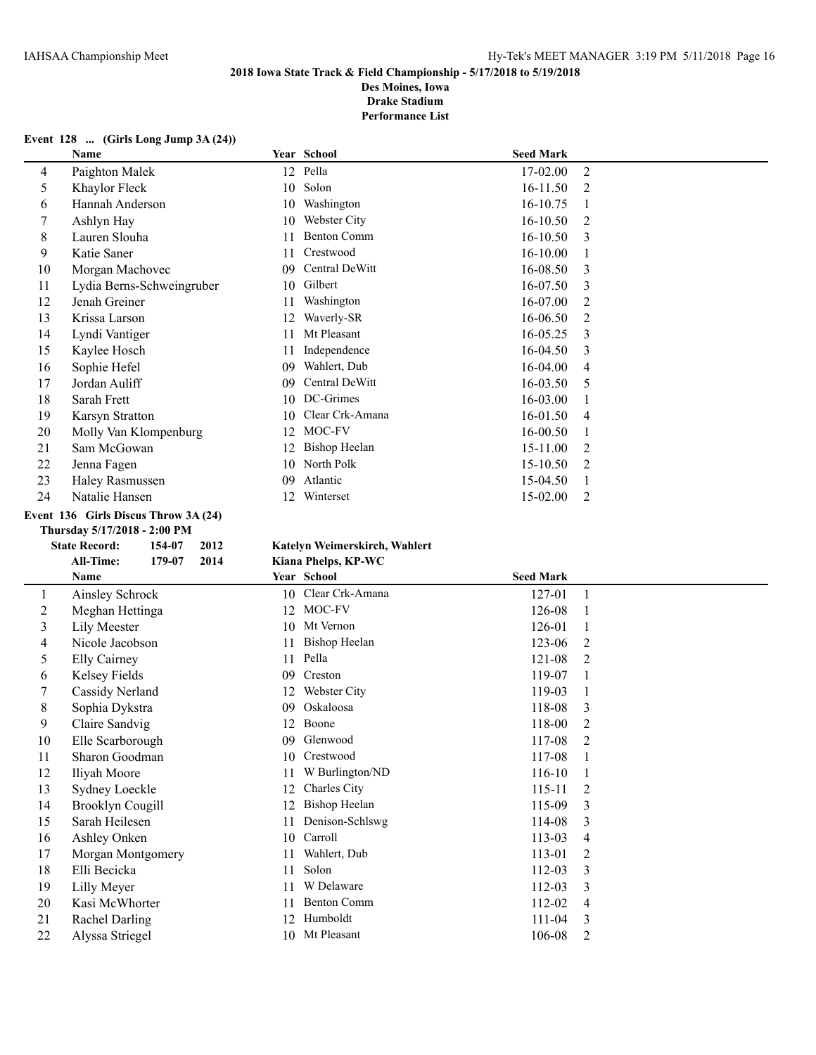**Des Moines, Iowa Drake Stadium**

**Performance List**

#### **Event 128 ... (Girls Long Jump 3A (24))**

|    | Name                      |    | Year School          | <b>Seed Mark</b> |                |
|----|---------------------------|----|----------------------|------------------|----------------|
| 4  | Paighton Malek            | 12 | Pella                | 17-02.00         | 2              |
| 5  | Khaylor Fleck             | 10 | Solon                | $16-11.50$       | 2              |
| 6  | Hannah Anderson           | 10 | Washington           | 16-10.75         |                |
|    | Ashlyn Hay                | 10 | Webster City         | 16-10.50         | 2              |
| 8  | Lauren Slouha             | 11 | <b>Benton Comm</b>   | 16-10.50         | 3              |
| 9  | Katie Saner               | 11 | Crestwood            | $16 - 10.00$     |                |
| 10 | Morgan Machovec           | 09 | Central DeWitt       | 16-08.50         | 3              |
| 11 | Lydia Berns-Schweingruber | 10 | Gilbert              | 16-07.50         | 3              |
| 12 | Jenah Greiner             | 11 | Washington           | 16-07.00         | 2              |
| 13 | Krissa Larson             | 12 | Waverly-SR           | 16-06.50         | 2              |
| 14 | Lyndi Vantiger            | 11 | Mt Pleasant          | 16-05.25         | 3              |
| 15 | Kaylee Hosch              | 11 | Independence         | 16-04.50         | 3              |
| 16 | Sophie Hefel              | 09 | Wahlert, Dub         | 16-04.00         | 4              |
| 17 | Jordan Auliff             | 09 | Central DeWitt       | 16-03.50         | 5              |
| 18 | Sarah Frett               | 10 | DC-Grimes            | $16 - 03.00$     |                |
| 19 | <b>Karsyn Stratton</b>    | 10 | Clear Crk-Amana      | 16-01.50         | 4              |
| 20 | Molly Van Klompenburg     | 12 | MOC-FV               | 16-00.50         |                |
| 21 | Sam McGowan               | 12 | <b>Bishop Heelan</b> | 15-11.00         | 2              |
| 22 | Jenna Fagen               | 10 | North Polk           | 15-10.50         | $\mathfrak{D}$ |
| 23 | Haley Rasmussen           | 09 | Atlantic             | 15-04.50         |                |
| 24 | Natalie Hansen            | 12 | Winterset            | 15-02.00         | 2              |

#### **Event 136 Girls Discus Throw 3A (24)**

**Thursday 5/17/2018 - 2:00 PM**

| <b>State Record:</b> |                         | 154-07 | 2012 |    | Katelyn Weimerskirch |
|----------------------|-------------------------|--------|------|----|----------------------|
|                      | <b>All-Time:</b>        | 179-07 | 2014 |    | Kiana Phelps, KP-WC  |
|                      | Name                    |        |      |    | Year School          |
| 1                    | Ainsley Schrock         |        |      | 10 | Clear Crk-Aman       |
| 2                    | Meghan Hettinga         |        |      | 12 | MOC-FV               |
| 3                    | Lily Meester            |        |      | 10 | Mt Vernon            |
| 4                    | Nicole Jacobson         |        |      | 11 | <b>Bishop Heelan</b> |
| 5                    | <b>Elly Cairney</b>     |        |      | 11 | Pella                |
| 6                    | Kelsey Fields           |        |      | 09 | Creston              |
| 7                    | Cassidy Nerland         |        |      | 12 | Webster City         |
| 8                    | Sophia Dykstra          |        |      | 09 | Oskaloosa            |
| 9                    | Claire Sandvig          |        |      | 12 | Boone                |
| 10                   | Elle Scarborough        |        |      | 09 | Glenwood             |
| 11                   | Sharon Goodman          |        |      | 10 | Crestwood            |
| 12                   | Iliyah Moore            |        |      | 11 | W Burlington/NI      |
| 13                   | Sydney Loeckle          |        |      | 12 | Charles City         |
| 14                   | <b>Brooklyn Cougill</b> |        |      | 12 | <b>Bishop Heelan</b> |
| 15                   | Sarah Heilesen          |        |      | 11 | Denison-Schlswg      |
| 16                   | Ashley Onken            |        |      | 10 | Carroll              |
| 17                   | Morgan Montgomery       |        |      | 11 | Wahlert, Dub         |
| 18                   | Elli Becicka            |        |      | 11 | Solon                |
| 19                   | Lilly Meyer             |        |      | 11 | W Delaware           |
| 20                   | Kasi McWhorter          |        |      | 11 | <b>Benton Comm</b>   |
| $^{\sim}$ 1          | $D = 1.1 D = 11.$       |        |      |    | $10.11$ $11.11$      |

## **State Record: 154-07 2012 Katelyn Weimerskirch, Wahlert**

|                | Name                    |    | Year School          | <b>Seed Mark</b> |                |
|----------------|-------------------------|----|----------------------|------------------|----------------|
| 1              | Ainsley Schrock         | 10 | Clear Crk-Amana      | 127-01           |                |
| $\overline{c}$ | Meghan Hettinga         | 12 | MOC-FV               | 126-08           |                |
| 3              | Lily Meester            | 10 | Mt Vernon            | 126-01           |                |
| 4              | Nicole Jacobson         |    | <b>Bishop Heelan</b> | 123-06           | $\overline{2}$ |
| 5              | <b>Elly Cairney</b>     | 11 | Pella                | 121-08           | 2              |
| 6              | Kelsey Fields           | 09 | Creston              | 119-07           |                |
| 7              | Cassidy Nerland         | 12 | Webster City         | 119-03           |                |
| 8              | Sophia Dykstra          | 09 | Oskaloosa            | 118-08           | 3              |
| 9              | Claire Sandvig          | 12 | Boone                | 118-00           | 2              |
| 10             | Elle Scarborough        | 09 | Glenwood             | 117-08           | 2              |
| 11             | Sharon Goodman          | 10 | Crestwood            | 117-08           |                |
| 12             | Iliyah Moore            |    | W Burlington/ND      | 116-10           |                |
| 13             | Sydney Loeckle          | 12 | Charles City         | 115-11           | 2              |
| 14             | <b>Brooklyn Cougill</b> |    | <b>Bishop Heelan</b> | 115-09           | 3              |
| 15             | Sarah Heilesen          |    | Denison-Schlswg      | 114-08           | 3              |
| 16             | Ashley Onken            | 10 | Carroll              | 113-03           | 4              |
| 17             | Morgan Montgomery       |    | Wahlert, Dub         | 113-01           | 2              |
| 18             | Elli Becicka            | 11 | Solon                | 112-03           | 3              |
| 19             | Lilly Meyer             |    | W Delaware           | 112-03           | 3              |
| 20             | Kasi McWhorter          |    | <b>Benton Comm</b>   | 112-02           | 4              |
| 21             | Rachel Darling          | 12 | Humboldt             | 111-04           | 3              |
| 22             | Alyssa Striegel         | 10 | Mt Pleasant          | 106-08           | 2              |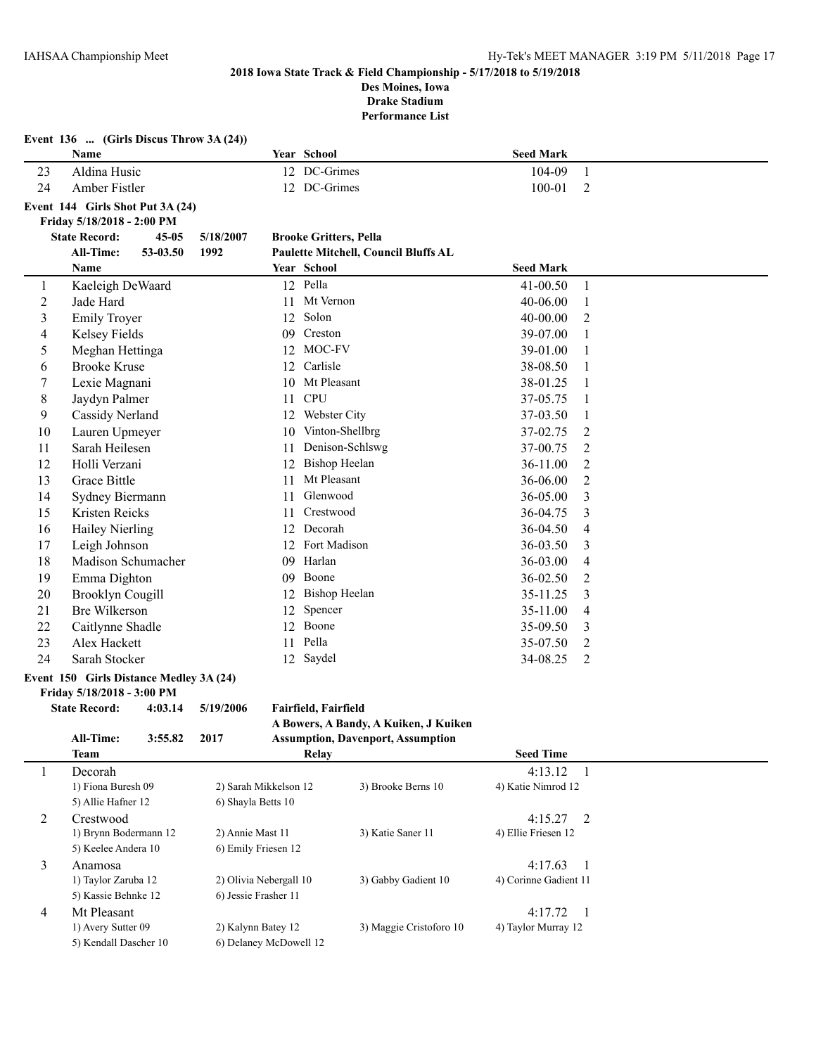**Event 136 ... (Girls Discus Throw 3A (24))**

# **2018 Iowa State Track & Field Championship - 5/17/2018 to 5/19/2018 Des Moines, Iowa**

**Drake Stadium Performance List**

|                | Name                                    |           |                        |                  | Year School                   |                                          | <b>Seed Mark</b>                 |                |
|----------------|-----------------------------------------|-----------|------------------------|------------------|-------------------------------|------------------------------------------|----------------------------------|----------------|
| 23             | Aldina Husic                            |           |                        |                  | 12 DC-Grimes                  |                                          | 104-09                           | $\mathbf{1}$   |
| 24             | Amber Fistler                           |           |                        |                  | 12 DC-Grimes                  |                                          | 100-01                           | 2              |
|                | Event 144 Girls Shot Put 3A (24)        |           |                        |                  |                               |                                          |                                  |                |
|                | Friday 5/18/2018 - 2:00 PM              |           |                        |                  |                               |                                          |                                  |                |
|                | <b>State Record:</b>                    | $45 - 05$ | 5/18/2007              |                  | <b>Brooke Gritters, Pella</b> |                                          |                                  |                |
|                | <b>All-Time:</b>                        | 53-03.50  | 1992                   |                  |                               | Paulette Mitchell, Council Bluffs AL     |                                  |                |
|                | Name                                    |           |                        |                  | Year School                   |                                          | Seed Mark                        |                |
| $\mathbf{1}$   | Kaeleigh DeWaard                        |           |                        |                  | 12 Pella                      |                                          | $41 - 00.50$                     | $\mathbf{1}$   |
| $\overline{2}$ | Jade Hard                               |           |                        | 11               | Mt Vernon                     |                                          | 40-06.00                         | 1              |
| $\mathfrak{Z}$ | <b>Emily Troyer</b>                     |           |                        | 12               | Solon                         |                                          | 40-00.00                         | 2              |
| 4              | Kelsey Fields                           |           |                        | 09               | Creston                       |                                          | 39-07.00                         | 1              |
| 5              | Meghan Hettinga                         |           |                        | 12               | MOC-FV                        |                                          | 39-01.00                         | 1              |
| 6              | <b>Brooke Kruse</b>                     |           |                        | 12               | Carlisle                      |                                          | 38-08.50                         | 1              |
| 7              | Lexie Magnani                           |           |                        | 10               | Mt Pleasant                   |                                          | 38-01.25                         | 1              |
| 8              | Jaydyn Palmer                           |           |                        | 11               | <b>CPU</b>                    |                                          | 37-05.75                         | 1              |
| 9              | Cassidy Nerland                         |           |                        | 12               | Webster City                  |                                          | 37-03.50                         | 1              |
| 10             | Lauren Upmeyer                          |           |                        | 10               | Vinton-Shellbrg               |                                          | 37-02.75                         | 2              |
| 11             | Sarah Heilesen                          |           |                        | 11               | Denison-Schlswg               |                                          | 37-00.75                         | 2              |
| 12             | Holli Verzani                           |           |                        | 12               | <b>Bishop Heelan</b>          |                                          | 36-11.00                         | 2              |
| 13             | Grace Bittle                            |           |                        | 11               | Mt Pleasant                   |                                          | 36-06.00                         | 2              |
| 14             | Sydney Biermann                         |           |                        | 11               | Glenwood                      |                                          | 36-05.00                         | 3              |
| 15             | Kristen Reicks                          |           |                        | 11               | Crestwood                     |                                          | 36-04.75                         | 3              |
| 16             | Hailey Nierling                         |           |                        |                  | 12 Decorah                    |                                          | 36-04.50                         | 4              |
| 17             | Leigh Johnson                           |           |                        |                  | 12 Fort Madison               |                                          | 36-03.50                         | 3              |
| 18             | Madison Schumacher                      |           |                        |                  | 09 Harlan                     |                                          | 36-03.00                         | 4              |
| 19             | Emma Dighton                            |           |                        |                  | 09 Boone                      |                                          | 36-02.50                         | 2              |
| 20             | <b>Brooklyn Cougill</b>                 |           |                        | 12 Bishop Heelan |                               |                                          | 35-11.25                         | 3              |
| 21             | <b>Bre Wilkerson</b>                    |           |                        |                  | Spencer<br>12                 |                                          | 35-11.00                         | 4              |
| 22             | Caitlynne Shadle                        |           |                        |                  | 12 Boone                      |                                          | 35-09.50                         | 3              |
| 23             | Alex Hackett                            |           |                        | 11               | Pella                         |                                          | 35-07.50                         | 2              |
| 24             | Sarah Stocker                           |           |                        | 12               | Saydel                        |                                          | 34-08.25                         | 2              |
|                | Event 150 Girls Distance Medley 3A (24) |           |                        |                  |                               |                                          |                                  |                |
|                | Friday 5/18/2018 - 3:00 PM              |           |                        |                  |                               |                                          |                                  |                |
|                | <b>State Record:</b>                    | 4:03.14   | 5/19/2006              |                  | Fairfield, Fairfield          |                                          |                                  |                |
|                |                                         |           |                        |                  |                               | A Bowers, A Bandy, A Kuiken, J Kuiken    |                                  |                |
|                | All-Time:                               | 3:55.82   | 2017                   |                  |                               | <b>Assumption, Davenport, Assumption</b> |                                  |                |
|                | <b>Team</b>                             |           |                        |                  | Relay                         |                                          | <b>Seed Time</b>                 |                |
| 1              | Decorah                                 |           |                        |                  |                               |                                          | 4:13.12                          | $\mathbf{1}$   |
|                | 1) Fiona Buresh 09                      |           | 2) Sarah Mikkelson 12  |                  |                               | 3) Brooke Berns 10                       | 4) Katie Nimrod 12               |                |
|                | 5) Allie Hafner 12                      |           | 6) Shayla Betts 10     |                  |                               |                                          |                                  |                |
| $\overline{2}$ | Crestwood<br>1) Brynn Bodermann 12      |           | 2) Annie Mast 11       |                  |                               | 3) Katie Saner 11                        | 4:15.27<br>4) Ellie Friesen 12   | 2              |
|                | 5) Keelee Andera 10                     |           | 6) Emily Friesen 12    |                  |                               |                                          |                                  |                |
|                |                                         |           |                        |                  |                               |                                          |                                  |                |
| 3              | Anamosa<br>1) Taylor Zaruba 12          |           | 2) Olivia Nebergall 10 |                  |                               | 3) Gabby Gadient 10                      | 4:17.63<br>4) Corinne Gadient 11 | 1              |
|                | 5) Kassie Behnke 12                     |           | 6) Jessie Frasher 11   |                  |                               |                                          |                                  |                |
| $\overline{4}$ | Mt Pleasant                             |           |                        |                  |                               |                                          | 4:17.72                          | $\overline{1}$ |
|                | 1) Avery Sutter 09                      |           | 2) Kalynn Batey 12     |                  |                               | 3) Maggie Cristoforo 10                  | 4) Taylor Murray 12              |                |
|                | 5) Kendall Dascher 10                   |           | 6) Delaney McDowell 12 |                  |                               |                                          |                                  |                |
|                |                                         |           |                        |                  |                               |                                          |                                  |                |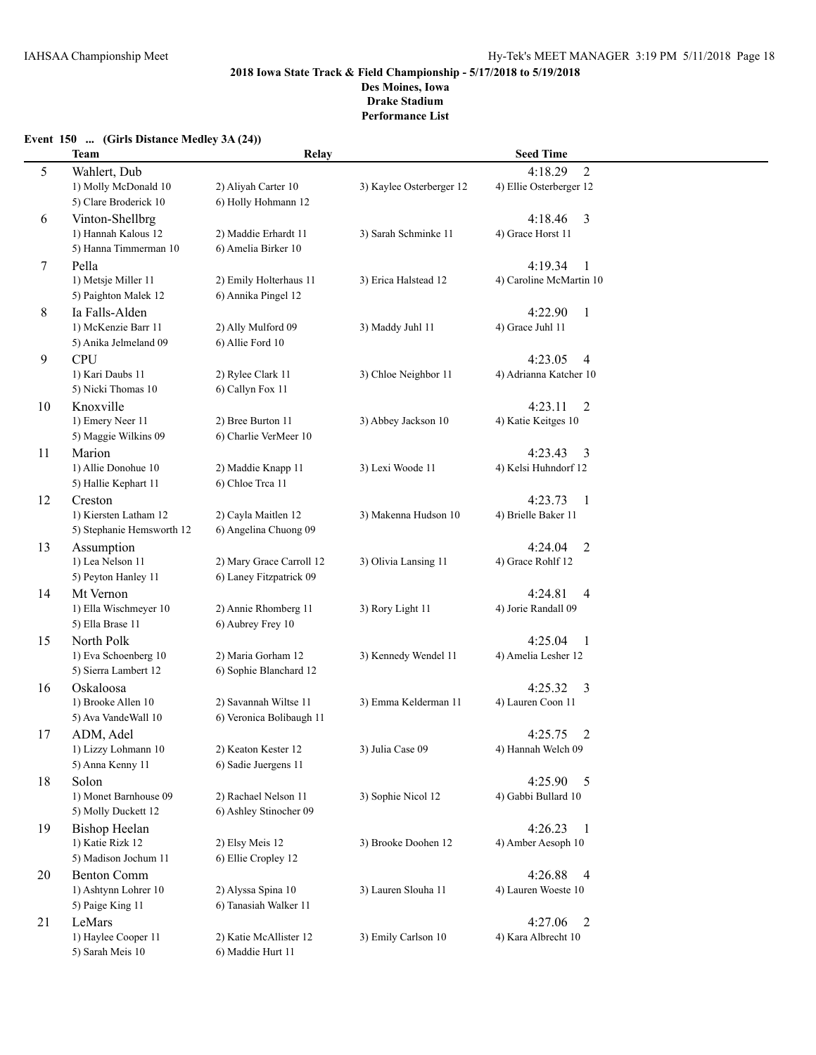# **2018 Iowa State Track & Field Championship - 5/17/2018 to 5/19/2018 Des Moines, Iowa**

**Drake Stadium**

**Performance List**

# **Event 150 ... (Girls Distance Medley 3A (24))**

|    | <b>Team</b>                               | Relay                    |                          | <b>Seed Time</b>                    |  |
|----|-------------------------------------------|--------------------------|--------------------------|-------------------------------------|--|
| 5  | Wahlert, Dub                              |                          |                          | $\overline{2}$<br>4:18.29           |  |
|    | 1) Molly McDonald 10                      | 2) Aliyah Carter 10      | 3) Kaylee Osterberger 12 | 4) Ellie Osterberger 12             |  |
|    | 5) Clare Broderick 10                     | 6) Holly Hohmann 12      |                          |                                     |  |
| 6  | Vinton-Shellbrg                           |                          |                          | 4:18.46<br>3                        |  |
|    | 1) Hannah Kalous 12                       | 2) Maddie Erhardt 11     | 3) Sarah Schminke 11     | 4) Grace Horst 11                   |  |
|    | 5) Hanna Timmerman 10                     | 6) Amelia Birker 10      |                          |                                     |  |
| 7  | Pella                                     |                          |                          | 4:19.34<br>$\mathbf{1}$             |  |
|    | 1) Metsje Miller 11                       | 2) Emily Holterhaus 11   | 3) Erica Halstead 12     | 4) Caroline McMartin 10             |  |
|    | 5) Paighton Malek 12                      | 6) Annika Pingel 12      |                          |                                     |  |
| 8  | Ia Falls-Alden                            |                          |                          | 4:22.90<br>$\mathbf{1}$             |  |
|    | 1) McKenzie Barr 11                       | 2) Ally Mulford 09       | 3) Maddy Juhl 11         | 4) Grace Juhl 11                    |  |
|    | 5) Anika Jelmeland 09                     | 6) Allie Ford 10         |                          |                                     |  |
| 9  | <b>CPU</b>                                |                          |                          | 4:23.05<br>$\overline{4}$           |  |
|    | 1) Kari Daubs 11                          | 2) Rylee Clark 11        | 3) Chloe Neighbor 11     | 4) Adrianna Katcher 10              |  |
|    | 5) Nicki Thomas 10                        | 6) Callyn Fox 11         |                          |                                     |  |
| 10 | Knoxville                                 |                          |                          | 4:23.11<br>$\overline{2}$           |  |
|    | 1) Emery Neer 11                          | 2) Bree Burton 11        | 3) Abbey Jackson 10      | 4) Katie Keitges 10                 |  |
|    | 5) Maggie Wilkins 09                      | 6) Charlie VerMeer 10    |                          |                                     |  |
| 11 | Marion                                    |                          |                          | 4:23.43<br>3                        |  |
|    | 1) Allie Donohue 10                       | 2) Maddie Knapp 11       | 3) Lexi Woode 11         | 4) Kelsi Huhndorf 12                |  |
|    | 5) Hallie Kephart 11                      | 6) Chloe Trea 11         |                          |                                     |  |
| 12 | Creston                                   |                          |                          | 4:23.73<br>$\overline{1}$           |  |
|    | 1) Kiersten Latham 12                     | 2) Cayla Maitlen 12      | 3) Makenna Hudson 10     | 4) Brielle Baker 11                 |  |
|    | 5) Stephanie Hemsworth 12                 | 6) Angelina Chuong 09    |                          |                                     |  |
| 13 | Assumption                                |                          |                          | 4:24.04<br>2                        |  |
|    | 1) Lea Nelson 11                          | 2) Mary Grace Carroll 12 | 3) Olivia Lansing 11     | 4) Grace Rohlf 12                   |  |
|    | 5) Peyton Hanley 11                       | 6) Laney Fitzpatrick 09  |                          |                                     |  |
| 14 | Mt Vernon                                 |                          |                          | 4:24.81<br>4                        |  |
|    | 1) Ella Wischmeyer 10<br>5) Ella Brase 11 | 2) Annie Rhomberg 11     | 3) Rory Light 11         | 4) Jorie Randall 09                 |  |
|    |                                           | 6) Aubrey Frey 10        |                          |                                     |  |
| 15 | North Polk<br>1) Eva Schoenberg 10        | 2) Maria Gorham 12       | 3) Kennedy Wendel 11     | 4:25.04<br>1<br>4) Amelia Lesher 12 |  |
|    | 5) Sierra Lambert 12                      | 6) Sophie Blanchard 12   |                          |                                     |  |
|    | Oskaloosa                                 |                          |                          | 4:25.32                             |  |
| 16 | 1) Brooke Allen 10                        | 2) Savannah Wiltse 11    | 3) Emma Kelderman 11     | 3<br>4) Lauren Coon 11              |  |
|    | 5) Ava Vande Wall 10                      | 6) Veronica Bolibaugh 11 |                          |                                     |  |
| 17 | ADM, Adel                                 |                          |                          | 4:25.75<br>2                        |  |
|    | 1) Lizzy Lohmann 10                       | 2) Keaton Kester 12      | 3) Julia Case 09         | 4) Hannah Welch 09                  |  |
|    | 5) Anna Kenny 11                          | 6) Sadie Juergens 11     |                          |                                     |  |
| 18 | Solon                                     |                          |                          | 4:25.90<br>5                        |  |
|    | 1) Monet Barnhouse 09                     | 2) Rachael Nelson 11     | 3) Sophie Nicol 12       | 4) Gabbi Bullard 10                 |  |
|    | 5) Molly Duckett 12                       | 6) Ashley Stinocher 09   |                          |                                     |  |
| 19 | <b>Bishop Heelan</b>                      |                          |                          | 4:26.23<br>$\mathbf{1}$             |  |
|    | 1) Katie Rizk 12                          | 2) Elsy Meis 12          | 3) Brooke Doohen 12      | 4) Amber Aesoph 10                  |  |
|    | 5) Madison Jochum 11                      | 6) Ellie Cropley 12      |                          |                                     |  |
| 20 | <b>Benton Comm</b>                        |                          |                          | 4:26.88<br>$\overline{4}$           |  |
|    | 1) Ashtynn Lohrer 10                      | 2) Alyssa Spina 10       | 3) Lauren Slouha 11      | 4) Lauren Woeste 10                 |  |
|    | 5) Paige King 11                          | 6) Tanasiah Walker 11    |                          |                                     |  |
| 21 | LeMars                                    |                          |                          | 4:27.06<br>2                        |  |
|    | 1) Haylee Cooper 11                       | 2) Katie McAllister 12   | 3) Emily Carlson 10      | 4) Kara Albrecht 10                 |  |
|    | 5) Sarah Meis 10                          | 6) Maddie Hurt 11        |                          |                                     |  |